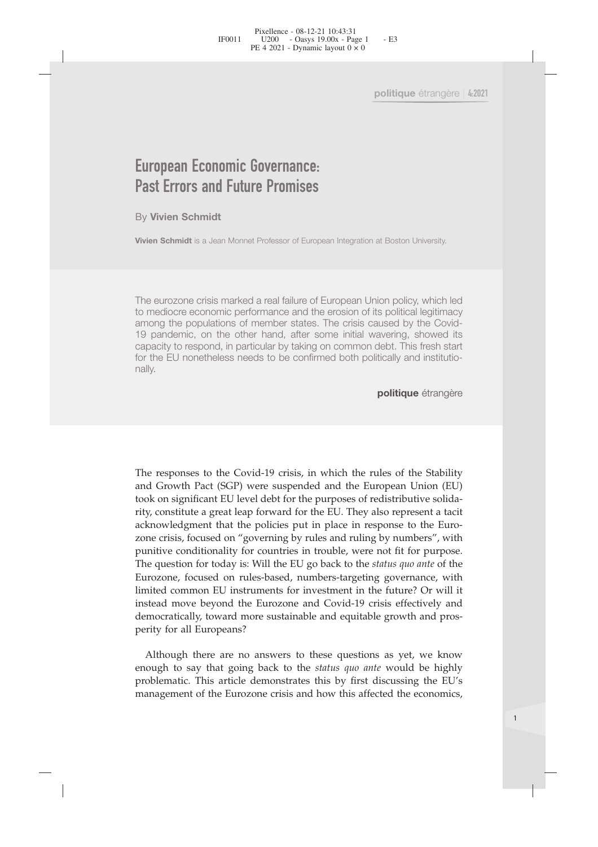# Pixellence - 08-12-21 10:43:31<br>
FF0011 U200 - Oasys 19.00x - Page 1<br>
PE 4 2021 - Dynamic layout 0 × 0<br>
PE<br> **European Economic Governance:**<br>
Past Errors and Future Promises<br>
By Vivien Schmidt<br>
Nivien Schmidt is a Jean Monne Pixellence - 08-12-21 10:43:31<br>
PE 4 2021 - Dynamic layout 0 × 0<br>
PE 4 2021 - Dynamic layout 0 × 0<br>
Politique étran<br>
POLITIQUE CONTRANCE:<br>
Past Errors and Future Promises<br>
By Vivien Schmidt<br>
Vivien Schmidt<br>
Stylen Schmidt<br> **European Economic Govern<br>Past Errors and Future Pron**<br>By Vivien Schmidt<br>Vivien Schmidt is a Jean Monnet Professon **European Economic Governance:<br>Past Errors and Future Promises**<br>By Vivien Schmidt<br>Vivien Schmidt is a Jean Monnet Professor of European Integration at Boston University.

**European Economic Governance:**<br> **Past Errors and Future Promises**<br>
By Vivien Schmidt<br>
Vivien Schmidt<br>
The eurozone crisis marked a real failure of European Union policy, which led<br>
to mediocre economic performance and the **European Economic Governance:**<br> **Past Errors and Future Promises**<br>
By Vivien Schmidt<br>
Vivien Schmidt is a Jean Monnet Professor of European Integration at Boston University.<br>
The eurozone crisis marked a real failure of E **Past Errors and Future Promises**<br>By Vivien Schmidt<br>Vivien Schmidt is a Jean Monnet Professor of European Integration at Boston University.<br>The eurozone crisis marked a real failure of European Union policy, which led<br>to m **Past Errors and Future Promises**<br>By Vivien Schmidt<br>Vivien Schmidt<br>Vivien Schmidt is a Jean Monnet Professor of European Integration at Boston University.<br>The eurozone crisis marked a real failure of European Union policy, Example 11 and the respondent of the response to the component of the curopean common schemidt is a Jean Monnet Professor of European Integration at Boston University.<br>The eurozone crisis marked a real failure of European For the EU nonetheless and the confirmed both politique étrangère<br> **The eurozone crisis marked a real failure of European Union policy, which led**<br>
to mediocre economic performance and the erosion of its political legitima nally.

**politique** étrangère

19 pandemic, on the other hand, after some initial wavering, showed its<br>capacity to respond, in particular by taking on common debt. This fresh start<br>for the EU nonetheless needs to be confirmed both politically and instit capacity to respond, in particular by taking on common debt. This fresh start<br>for the EU nonetheless needs to be confirmed both politically and institutio-<br>nally.<br>**politique** étrangère<br>**politique** étrangère<br>**politique** étr tor the EU horienteless heeds to be commined both politically and institutio-<br> **politique** étrangère<br> **politique** étrangère<br> **CEC 10.11 CEC 10.112 politique** example in the purposes of the Stability<br>
and Growth Pact (S politique étrangère<br>politique étrangère<br>and Growth Pact (SGP) were suspended and the Furopean Union (EU)<br>took on significant EU level debt for the purposes of redistributive solida-<br>rity, constitute a great leap forward fo politique étrangère<br>
The responses to the Covid-19 crisis, in which the rules of the Stability<br>
and Growth Pact (SGP) were suspended and the European Union (EU)<br>
took on significant EU level debt for the purposes of redist The responses to the Covid-19 crisis, in which the rules of the Stability<br>and Growth Pact (SGP) were suspended and the European Union (EU)<br>took on significant EU level debt for the purposes of redistributive solida-<br>rity, The responses to the Covid-19 crisis, in which the rules of the Stability and Growth Pact (SGP) were suspended and the European Union (EU) took on significant EU level debt for the purposes of redistributive solidarity, co The responses to the Covid-19 crisis, in which the rules of the Stability<br>and Growth Pact (SGP) were suspended and the European Union (EU)<br>took on significant EU level debt for the purposes of redistributive solida-<br>acknow The responses to the Covid-19 crisis, in which the rules of the Stability and Growth Pact (SGP) were suspended and the European Union (EU) took on significant EU level debt for the purposes of redistributive solidarity, co The responses to the Covid-19 crisis, in which the rules of the Stability and Growth Pact (SGP) were suspended and the European Union (EU) took on significant EU level debt for the purposes of redistributive solidarity, co The responses to the Covid-19 crisis, in which the rules of the Stability<br>and Growth Pact (SGP) were suspended and the European Union (EU)<br>took on significant EU level debt for the purposes of redistributive solida-<br>rity, The responses to the Covid *Y* chinse, in which the fuses of the clusting drowth Pact (SGP) were suspended and the European Union (EU) took on significant EU level debt for the purposes of redistributive solidarity, const and Growth Fact (5GF) were suspended and took on significant EU level debt for the pur<br>rity, constitute a great leap forward for the E<br>acknowledgment that the policies put in p<br>zone crisis, focused on "governing by rules a y, construe a great reap forward on the EC. Here are not expressive a catter of the Euro-<br>he crisis, focused on "governing by rules and ruling by numbers", with<br>mitive conditionality for countries in trouble, were not fit acknowedgiffer that the pointers put in place in tesponse to the enfor-<br>pointive conditionality for countries in trouble, were not fit for purpose.<br>The question for today is: Will the EU go back to the *status quo ante* of EXITE CONDITED TO THE ALTE ALTE TO DEVELUE THE PROPORTED THE PROPORT THE QUIDIT DURING THE question for today is: Will the EU go back to the *status quo ante* of the Eurozone, focused on rules-based, numbers-targeting gove putuance containing to touthines in totoma, were not in the proposer.<br>The question for today is: Will the EU go back to the *status quo ante* of the Eurozone, focused on rules-based, numbers-targeting governance, with limi

1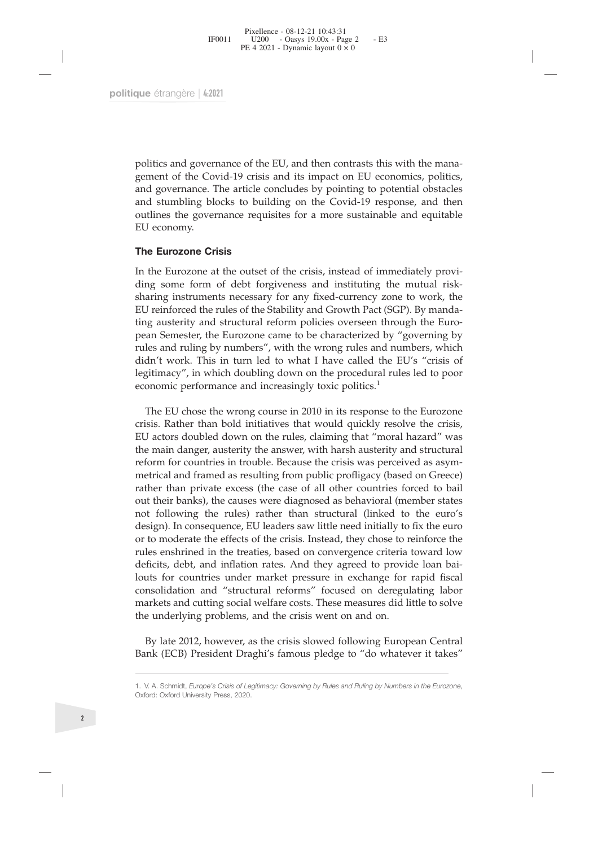Fixellence - 08-12-21 10:43:31<br>
FF0011 U200 - Oasys 19.00x - Page 2 - E3<br>
PE 4 2021 - Dynamic layout 0 × 0<br>
PU e étrangère | 4:2021<br>
que étrangère | 4:2021<br>
politics and governance of the EU, and then contrasts this with t F0011  $U200 - Oays 19.00x - Page 2$  - E3<br>
PE 4 2021 - Dynamic layout 0 × 0<br>
que étrangère  $|4:2021|$ <br>
politics and governance of the EU, and then contrasts this with the mana-<br>
gement of the Covid-19 crisis and its impact on EU ec re 4 2021 - Dynamic layout  $0 \times 0$ <br>
que étrangère  $|4:2021|$ <br>
politics and governance of the EU, and then contrasts this with the mana-<br>
gement of the Covid-19 crisis and its impact on EU economics, politics,<br>
and governa que étrangère | 4:2021<br>
politics and governance of the EU, and then contrasts this with the mana-<br>
gement of the Covid-19 crisis and its impact on EU economics, politics,<br>
and governance. The article concludes by pointing politics and governance of the EU, and then contrasts this with the management of the Covid-19 crisis and its impact on EU economics, politics, and governance. The article concludes by pointing to potential obstacles and s que étrangère | 4:2021<br>
politics and governance<br>
gement of the Covid-19<br>
and governance. The ar<br>
and stumbling blocks t<br>
outlines the governance<br>
EU economy.<br> **The Eurozone Crisis**<br>
In the Eurozone at the d<br>
ding some form politics and governance of the EU, and then a<br>gement of the Covid-19 crisis and its impact<br>and governance. The article concludes by po<br>and stumbling blocks to building on the C<br>outlines the governance requisites for a mo<br>E politics and governance of the EU, and then contrasts this with the management of the Covid-19 crisis and its impact on EU economics, politics, and governance. The article concludes by pointing to potential obstacles and s

politics and governance of the EU, and then contrasts this with the management of the Covid-19 crisis and its impact on EU economics, politics, and governance. The article concludes by pointing to potential obstacles and s politics and governance of the EU, and then contrasts this with the management of the Covid-19 crisis and its impact on EU economics, politics, and governance. The article concludes by pointing to potential obstacles and s The meant of the Covid-19 crisis and its impact on EU economics, politics, and governance. The article concludes by pointing to potential obstacles and stumbling blocks to building on the Covid-19 response, and then outlin and governance. The article concludes by pointing to potential obstacles<br>and stumbling blocks to building on the Covid-19 response, and then<br>outlines the governance requisites for a more sustainable and equitable<br>EU econom and stumbling blocks to building on the Covid-19 response, and then<br>outlines the governance requisites for a more sustainable and equitable<br>EU economy.<br>The Eurozone at the outset of the crisis, instead of immediately provi outlines the governance requisites for a more sustainable and equitable EU economy.<br> **The Eurozone Crisis**<br>
In the Eurozone at the outset of the crisis, instead of immediately provi-<br>
ding some form of debt forgiveness and EU economy.<br> **The Eurozone Crisis**<br>
In the Eurozone at the outset of the crisis, instead of immediately provi-<br>
ding some form of debt forgiveness and instituting the mutual risk-<br>
sharing instruments necessary for any fix The Eurozone Crisis<br>
In the Eurozone at the outset of the crisis, instead of immediately provi-<br>
ding some form of debt forgiveness and instituting the mutual risk-<br>
sharing instruments necessary for any fixed-currency zon The Eurozone Crisis<br>In the Eurozone at the outset of the crisis, instead of immediately p<br>ding some form of debt forgiveness and instituting the mutual<br>sharing instruments necessary for any fixed-currency zone to work<br>EU r the Eurozone at the outset of the crisis, instead of immediately provi-<br>nog some form of debt forgiveness and instituting the mutual risk-<br>aring instruments necessary for any fixed-currency zone to work, the<br>J reinforced t ding some form of debt forgiveness and instituting the mutual risk-<br>EU reinforced the rules of the Stability and Growth Pact (SGP). By manda-<br>Eing austerity and structural reform policies overseen through the Euro-<br>pean Se sharing instruments necessary for any fixed-currency zone to work, the EU reinforced the rules of the Stability and Growth Patt (SGP). By manda-<br>ting austerity and structural reform policies overseen through the Euro-<br>pean

EU remtorced the rules of the Stability and Growth Pact (SGP). By manda-<br>ting austerity and structural reform policies overseen through the Euro-<br>pean Semester, the Eurozone came to be characterized by "governing by<br>rules ting austerity and structural reform policies overseen through the Euro-<br>pean Semester, the Eurozone came to be characterized by "governing by<br>rules and ruling by numbers", with the wrong rules and numbers, which<br>didn't wo pean semester, the Eurozone came to be characterized by "governing by rules and ruling by numbers", with the wrong rules and numbers, which digh't work. This in turn led to what I have called the EU's "crisis of degitimacy rules and rulmg by numbers', with the wrong rules and numbers, which<br>didn't work. This in turn led to what I have called the EU's "crisis of<br>legitimacy", in which doubling down on the procedural rules led to poor<br>economic diant work. This in turn led to what I have called the EU's "crisis of legitimacy", in which doubling down on the procedural rules led to poor economic performance and increasingly toxic politics.<sup>1</sup><br>The EU chose the wrong igntimacy', in which doubling down on the procedural rules led to poor<br>economic performance and increasingly toxic politics.<sup>1</sup><br>The EU chose the wrong course in 2010 in its response to the Eurozone<br>crisis. Rather than bold economic performance and increasingly toxic politics.<sup>2</sup><br>The EU chose the wrong course in 2010 in its response to the Eurozone<br>crisis. Rather than bold initiatives that would quickly resolve the crisis,<br>EU actors doubled d The EU chose the wrong course in 2010 in its response to the Eurozone<br>crisis. Rather than bold initiatives that would quickly resolve the crisis,<br>EU actors doubled down on the rules, claiming that "moral hazard" was<br>the ma Ine EU chose the wong course in 2010 in its response to the Eurozone<br>crisis, Exaher than bold initiatives that would quickly resolve the crisis,<br>EU actors doubled down on the rules, claiming that "moral hazard" was<br>the mai crisis. Kather than bold initiatives that would quickly resolve the crisis, EU actors doubled down on the rules, claiming that "moral hazard" was the main danger, austerity the answer, with harsh austerity and structural r EU actors doubled down on the rules, claiming that moral nazard was<br>the main danger, austerity the answer, with harsh austerity and structural<br>reform for countries in trouble. Because the crisis was perceived as asym-<br>metr the mann canger, austerity the answer, with narsh austerity and structural<br>reform for countries in trouble. Because the crisis was perceived as a<br>sym-<br>metrical and framed as resulting from public profligacy (based on Greec reform for countries in trouble. because the crisis was perceived as asymmetrical and framed as resulting from public profiligacy (based on Greece) rather than private excess (the case of all other countries forced to bail metrical and framed as resulting from public profilgacy (based on G<br>rather than private excess (the case of all other countries forced t<br>out their banks), the causes were diagnosed as behavioral (member<br>not following the r It their banks), the causes were diagnosed as behavioral (member states<br>sign). In consequence, EU leaders saw little need initially to fix the euro's<br>sign). In consequence, EU leaders saw little need initially to fix the e not following the rules) rather than structural (linked to the euro's design). In consequence, EU leaders saw little need initially to fix the euro or to moderate the effects of the crisis. Instead, they chose to reinforce 1. V. A. Schmidt, *Europe's Crisis of Legitimacy: Governing by Rules and Ruling by Numbers in the Eurozone*, Oxford: Oxford University Press, 2020.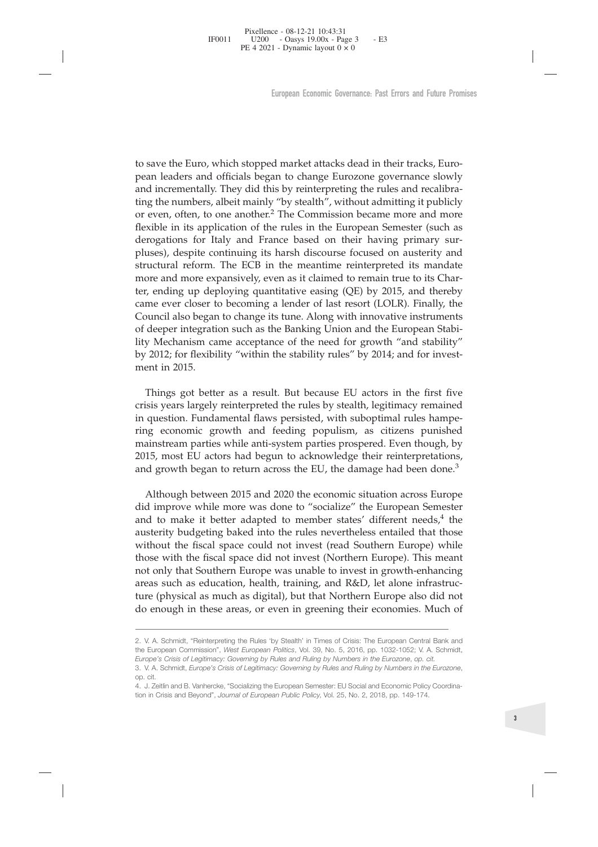Fixellence - 08-12-21 10:43:31<br>
FF0011 U200 - Oasys 19.00x - Page 3 - E3<br>
PE 4 2021 - Dynamic layout 0 × 0<br>
European Economic Governance: Past Errors and Future Pron<br>
European Economic Governance: Past Errors and Future Pr Froot 1  $1200$   $-$  Oasys 19.00x - Page 3  $-$  E3  $\rightarrow$  E4 2021 - Dynamic layout 0  $\times$  0  $\rightarrow$  E4 2021 - Dynamic layout 0  $\times$  0  $\rightarrow$  European Economic Governance. Past Errors and Future Promises to change Eurozone governanc FE 4 2021 - Dynamic layout 0 x 0<br>European Economic Governance: Past Errors and Future Pron<br>to save the Euro, which stopped market attacks dead in their tracks, Euro-<br>pean leaders and officials began to change Eurozone gove European Economic Governance: Past Errors and Future Promises<br>to save the Euro, which stopped market attacks dead in their tracks, Euro-<br>pean leaders and officials began to change Eurozone governance slowly<br>and incremental European Economic Governance: Past Errors and Future Promises<br>to save the Euro, which stopped market attacks dead in their tracks, Euro-<br>pean leaders and officials began to change Eurozone governance slowly<br>and incremental European Economic Governance: Past Errors and Future Promises<br>to save the Euro, which stopped market attacks dead in their tracks, Euro-<br>pean leaders and officials began to change Eurozone governance slowly<br>and incremental to save the Euro, which stopped market attacks dead in their tracks, Euro-<br>pean leaders and officials began to change Eurozone governance slowly<br>and incrementally. They did this by reinterpreting the rules and recalibra-<br>t to save the Euro, which stopped market attacks dead in their tracks, Euro-<br>pean leaders and officials began to change Eurozone governance slowly<br>and incrementally. They did this by reinterpreting the rules and recalibra-<br>t to save the Euro, which stopped market attacks dead in their tracks, Euro-<br>pean leaders and officials began to change Eurozone governance slowly<br>and incrementally. They did this by reinterpreting the rules and recalibra-<br>t to save the Euro, which stopped market attacks dead in their tracks, Euro-<br>pean leaders and officials began to change Eurozone governance slowly<br>and incrementally. They did this by reinterpreting the rules and recalibra-<br>t to save the Euro, which stopped market attacks dead in their tracks, Euro-<br>pean leaders and officials began to change Eurozone governance slowly<br>and incrementally. They did this by reinterpreting the rules and recalibra-<br>t to save the Euro, which stopped market attacks dead in their tracks, Euro-<br>pean leaders and officials began to change Eurozone governance slowly<br>and incrementally. They did this by reinterpreting the rules and recalibra-<br>t pean leaders and officials began to change Eurozone governance slowly<br>and incrementally. They did this by preinterpreting the rules and recalibra-<br>ting the numbers, albeit mainly "by stealth", without admitting it publicly and incrementally. I hey did this by reinterpreting the rules and recalibra-<br>ting the numbers, albeit mainly "by stealth", without admitting it publicly<br>or even, often, to one another.<sup>2</sup> The Commission became more and mor ting the numbers, albeit mainly "by stealth", without admitting it publicly<br>or even, often, to one another.<sup>2</sup> The Commission became more and more<br>flexible in its application of the rules in the European Semester (such as<br> or even, otten, to one another.<sup>2</sup> The Commission became more and more flexible in its application of the rules in the European Semester (such as derogations for Italy and France based on their having primary surpluses), d flexible in its application<br>derogations for Italy an<br>pluses), despite continu<br>structural reform. The 1<br>more and more expansiver, ending up deployin<br>came ever closer to becc<br>Council also began to ch<br>of deeper integration su uses), despite continuing its harsh discourse focused on austerity and tructural reform. The ECB in the meantime reinterpreted its mandate ore and more expansively, even as it claimed to remain true to its Char-<br> *c*, endi structural retorm. The ECB in the meantime reinterpreted its mandate more and more expansively, even as it claimed to remain true to its Char-<br>ter, ending up deploying quantitative easing (QE) by 2015, and thereby<br>came eve more and more expansively, even as it claimed to remain true to its Char-<br>ter, ending up deploying quantitative easing (QE) by 2015, and thereby<br>came ever closer to becoming a lender of last resort (LOLR). Finally, the<br>Cou

ter, ending up deploying quantitative easing (QE) by 2015, and thereby<br>came ever closer to becoming a lender of last resort (LOLR). Finally, the<br>Council also began to change its tune. Along with innovative instruments<br>of d came ever closer to becoming a lender of last resort (LOLK). Finally, the Council also began to change its tune. Along with innovative instruments of deeper integration such as the Banking Union and the European Stability Council also began to change its tune. Along with innovative instruments of deeper integration such as the Banking Union and the European Stability" by 2012; for flexibility "within the stability rules" by 2014; and for in or deeper mtegration such as the Banking Union and the European Stability Mechanism came acceptance of the need for growth "and stability" by 2012; for flexibility "within the stability rules" by 2014; and for investment i 2012; for flexibility "within the stability rules" by 2014; and for investent in 2015.<br>Things got better as a result. But because EU actors in the first five<br>sisis years largely reinterpreted the rules by stealth, legitima ment in 2015.<br>
Things got better as a result. But because EU actors in the first five<br>
crisis years largely reinterpreted the rules by stealth, legitimacy remained<br>
in question. Fundamental flaws persisted, with suboptimal

Things got better as a result. But because EU actors in the first five crisis years largely reinterpreted the rules by stealth, legitimacy remained in question. Fundamental flaws persisted, with suboptimal rules hampe-<br>rin and to make it better adapted to member states' different needs, $4$  the Things got better as a result. But because EU actors in the first five and the rules by stealth, legitimary remained in question. Fundamental flaws persisted, with suboptimal rules hampering economic growth and feeding po crisis years largely reinterpreted the rules by stealth, legitimacy remained<br>in question. Fundamental flaws persisted, with suboptimal rules hampe-<br>ring economic growth and feeding populism, as citizens punished<br>mainstream in question. Fundamental flaws persisted, with suboptimal rules hampe-<br>ring economic growth and feeding populism, as citizens punished<br>mainstream parties while anti-system parties prospered. Even though, by<br>2015, most EU ring economic growth and teeding populism, as citizens punished mainstream parties while anti-system parties prospered. Even though, by 2015, most EU actors had begun to acknowledge their reinterpretations, and growth bega mainstream parties while anti-system parties prospered. Even though, by<br>2015, most EU actors had begun to acknowledge their reinterpretations,<br>and growth began to return across the EU, the damage had been done.<sup>3</sup><br>Although 2015, most EU actors had begun to acknowledge their reinterpretations,<br>and growth began to return across the EU, the damage had been done.<sup>3</sup><br>Although between 2015 and 2020 the economic situation across Europe<br>did improve and growth began to return across the EU, the damage had been done."<br>
Although between 2015 and 2020 the economic situation across Europe<br>
did improve while more was done to "socialize" the European Semester<br>
and to make austerity budgeting baked into the rules nevertheless entailed that those<br>without the fiscal space could not invest (read Southern Europe). This meant<br>not only that Southern Europe was unable to invest in growth-enhancing<br> without the fiscal space could not invest (read Southern Europe) while<br>those with the fiscal space did not invest (Northern Europe). This meant<br>not only that Southern Europe was unable to invest in growth-enhancing<br>areas s **Europe's Crisis of Legitimacy: Governing by Rules and Ruling by Numbers in the Eurozone,** 4. J. Zeitlin and B. Vanhercke, "Socializing the European Semester: EU Social and Economic Policy Coordination,  $\frac{1}{2}$  and  $\frac{1$ 113. In the Islam space and not invest (ivertificm Europe). This included not only that Southern Europe was unable to invest in growth-enhancing areas such as education, health, training, and R&D, let alone infrastructure areas such as education, health, training, and R&D, let alone infrastructure (physical as much as digital), but that Northern Europe also did not do enough in these areas, or even in greening their economies. Much of the E

The Commission of the Same and Beyond", *Journal of European Public Policy*, Vol. 25, No. 2, 2018, pp. 149-174.<br>
2. V. A. Schmidt, "Reinterpreting the Rules 'by Stealth' in Times of Crisis: The European Central Bank and<br>
2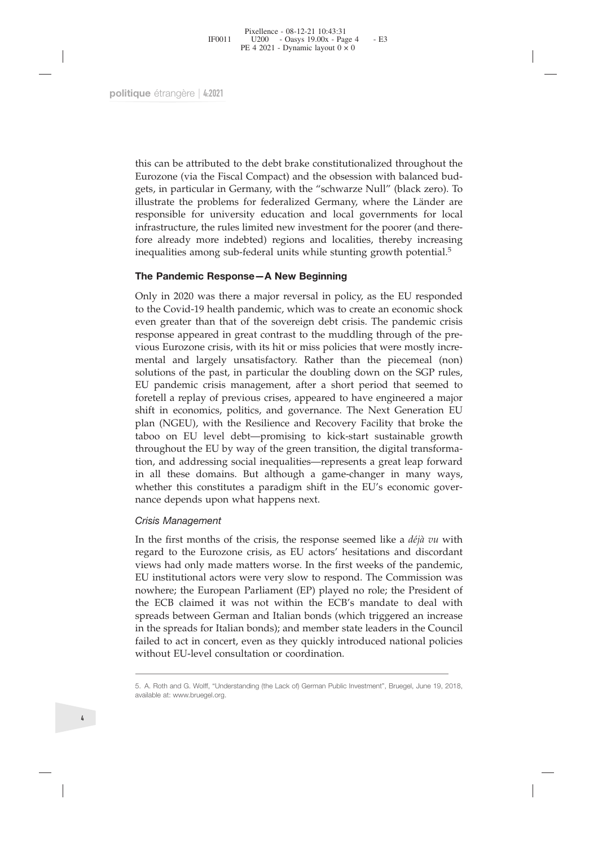que étrangère | 4:2021<br>
this can be attributed to the debt brake constitutionalized throughout the<br>
Eurozone (via the Fiscal Compact) and the obsession with balanced budgets, in particular in Germany, with the "schwarze Nu que étrangère | 4:2021<br>
this can be attributed to the debt brake constitutionalized throughout the<br>
Eurozone (via the Fiscal Compact) and the obsession with balanced bud-<br>
gets, in particular in Germany, with the "schwarze que étrangère | 4:2021<br>
this can be attributed to the debt brake constitutionalized throughout the<br>
Eurozone (via the Fiscal Compact) and the obsession with balanced bud-<br>
gets, in particular in Germany, with the "schwarze que étrangère | 4:2021<br>
this can be attributed to the debt brake constitutionalized throughout the<br>
Eurozone (via the Fiscal Compact) and the obsession with balanced bud-<br>
gets, in particular in Germany, with the "schwarze que étrangère | 4:2021<br>
this can be attributed to the debt brake constitutionalized throughout the<br>
Eurozone (via the Fiscal Compact) and the obsession with balanced bud-<br>
gets, in particular in Germany, with the "schwarze que étrangère  $|4:2021|$ <br>this can be attributed to the debt brake constitutionalized throughout the<br>Eurozone (via the Fiscal Compact) and the obsession with balanced bud-<br>gets, in particular in Germany, with the "schwarze this can be attributed to the debt brake constitutionalized throughout the Eurozone (via the Fiscal Compact) and the obsession with balanced bud-<br>glustrate the problems for federalized Germany, where the Länder are<br>respons this can be attributed to the debt brake constitutionalized throughout the Eurozone (via the Fiscal Compact) and the obsession with balanced budgets, in particular in Germany, with the "schwarze Null" (black zero). To illu this can be attributed to the debt brake constitutionalized throughout the Eurozone (via the Fiscal Compact) and the obsession with balanced budgets, in particular in Germany, with the "schwarze Null" (black zero). To illu this can be attributed to the debt brake constitutionalized throughout the Eurozone (via the Fiscal Compact) and the obsession with balanced budgets, in particular in Germany, with the "schwarze Null" (black zero). To illu Eurozone (via the Fiscal Compact) and the obsession with balanced budgets, in particular in Germany, with the "schwarze Null" (black zero). To illustrate the problems for federalized Germany, where the Länder are responsib

gets, in particular in Germany, with the "schwarze Null" (black zero). To illustrate the problems for federalized Germany, where the Länder are responsible for university education and local governments for local infrastru Bullistrate the problems for federalized Germany, where the Länder are responsible for university education and local governments for local infrastructure, the rules limited new investment for the poorer (and therefore alr responsible for university education and local governments for local<br>infrastructure, the rules limited new investment for the poorer (and there-<br>fore already more indebted) regions and localities, thereby increasing<br>inequa infrastructure, the rules limited new investment for the poorer (and there-<br>fore already more indebted) regions and localities, thereby increasing<br>inequalities among sub-federal units while stunting growth potential.<sup>5</sup><br>**T** fore already more indebted) regions and localities, thereby increasing inequalities among sub-federal units while stunting growth potential.<sup>5</sup><br> **The Pandemic Response** — **A New Beginning**<br>
Only in 2020 was there a major r inequalities among sub-federal units while stunting growth potential.<sup>5</sup><br> **The Pandemic Response** — **A New Beginning**<br>
Only in 2020 was there a major reversal in policy, as the EU responded<br>
to the Covid-19 health pandemic **The Pandemic Response—A New Beginning**<br>
Only in 2020 was there a major reversal in policy, as the EU responded<br>
to the Covid-19 health pandemic, which was to create an economic shock<br>
even greater than that of the soverei The Pandemic Response—A New Beginning<br>
Only in 2020 was there a major reversal in policy, as the EU responded<br>
to the Covid-19 health pandemic, which was to create an economic shock<br>
even greater than that of the sovereign Only in 2020 was there a major reversal in policy, as the EU responded<br>to the Covid-19 health pandemic, which was to create an economic shock<br>even greater than that of the sovereign debt crisis. The pandemic crisis<br>respons Only in 2020 was there a major reversal in policy, as the EU responded<br>to the Covid-19 helalth pandemic, which was to create an economic shock-<br>even greater than that of the sovereign debt crisis. The pandemic crisis<br>respo to the Covid-19 health pandemic, which was to create an economic shock<br>even greater than that of the sovereign debt crisis. The pandemic crisis<br>response appeared in great contrast to the muddling through of the pre-<br>vious even greater than that of the sovereign debt crisis. The pandemic crisis<br>response appeared in great contrast to the muddling through of the pre-<br>vious Eurozone crisis, with its hit or miss policies that were mostly incre-<br> response appeared in great contrast to the muddling through of the pre-<br>vious Eurozone crisis, with its hit or miss policies that were mostly incre-<br>mental and largely unsatisfactory. Rather than the piecemeal (non)<br>soluti vious Eurozone crisis, with its hit or miss policies that were mostly incremental and largely unsatisfactory. Rather than the piecemeal (non) solutions of the past, in particular the doubling down on the SGP rules, EU pand mental and largely unsatistactory. Kather than<br>solutions of the past, in particular the doubling dovers<br>EU pandemic crisis management, after a short perfore<br>tell a replay of previous crises, appeared to have shift in econo solutions of the past, in particula<br>*EU* pandemic crisis management<br>foretell a replay of previous crise<br>shift in economics, politics, and<br>plan (NGEU), with the Resilien<br>taboo on *EU* level debt—prom<br>throughout the *EU* by roretell a replay of previous crises, appeared to nave engineered a major<br>shift in economics, politics, and governance. The Next Generation EU<br>plan (NGEU), with the Resilience and Recovery Facility that broke the<br>taboo on shint in economics, pontics, and governance. The Next Generation EO<br>plan (NGEU), with the Resilience and Recovery Facility that broke the<br>taboo on EU level debt—promising to kick-start sustainable growth<br>throughout the EU

plant (INGEU), with the Resinence and Recovery racinty that broke the taboo on EU level debt—promising to kick-start sustainable growth throughout the EU by way of the green transition, the digital transformation, and add EU institutional actors were very slow to respond. The Commission was nowhere; the European Scali inequalities—represents a great leap forward<br>tion, and addressing social inequalities—represents a great leap forward<br>in all these domains. But although a game-changer in many ways,<br>whether thi the including social inequalities—-represents a great leap forward<br>in all these domains. But although a game-changer in many ways,<br>whether this constitutes a paradigm shift in the EU's economic gover-<br>nance depends upon w In the two conditions. But although a game-changer in many ways, whether this constitutes a paradigm shift in the EU's economic governance depends upon what happens next.<br>
Crisis Management<br>
In the first months of the cri *K* Crisis Management<br>
In the first months of the crisis, the response seemed like a *déjà vu* with<br>
regard to the Eurozone crisis, as EU actors' hesitations and discordant<br>
views had only made matters worse. In the first failed to act in concert, we as they quickly introduced national policies with an and  $\frac{d\phi}{dt}$  in concert in the first months of the crisis, as EU actors' hesitations and discordant views had only made matters worse. I Crisis Management<br>In the first months of the crisis, the response seemed lik<br>regard to the Eurozone crisis, as EU actors' hesitations<br>views had only made matters worse. In the first weeks o<br>EU institutional actors were ver EO INSTITUTION at actors were very slow to respond: The Confinishion was<br>nowhere; the European Parliament (EP) played no role; the President of<br>the ECB claimed it was not within the ECB's mandate to deal with<br>spreads betwe mowhere; the European Parlis<br>the ECB claimed it was not<br>spreads between German an<br>in the spreads for Italian bon<br>failed to act in concert, even<br>without EU-level consultatio<br>5. A. Roth and G. Wolff, "Understanding (<br>availab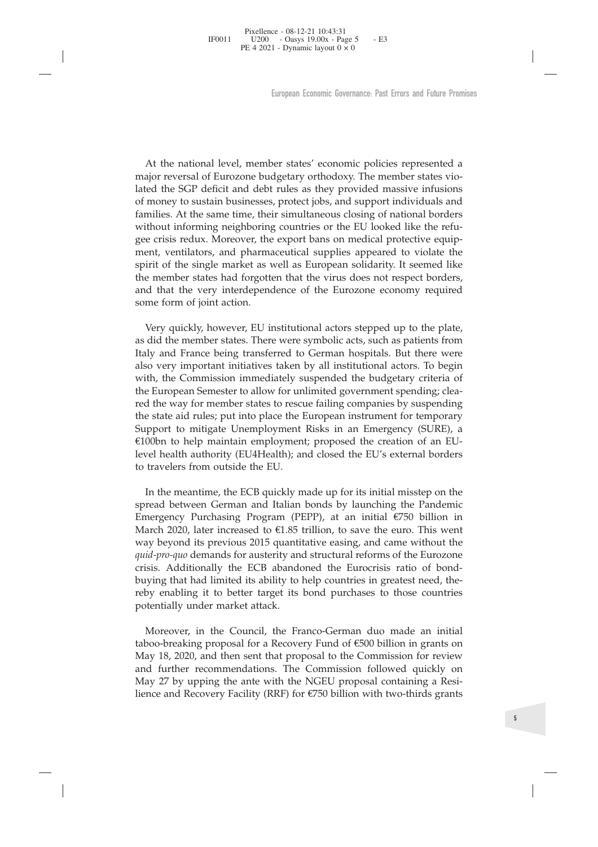Pixellence - 08-12-21 10:43:31<br>
PE 4 2021 - Dynamic layout 0 × 0<br>
PE 4 2021 - Dynamic layout 0 × 0<br>
Luropean Economic Governance: Past Errors and Future Promises<br>
At the national level, member states' economic policies rep 199011  $U200 - Oays 19.00x - Page 5 - E3$ <br>  $PE 4 2021 - Dynamic layout 0 \times 0$ <br>
European Economic Governance: Past Errors and Future Pron<br>
European Economic Governance: Past Errors and Future Pron<br>
At the national level, member states' economic pol FE 4 2021 - Dynamic ayout 0 × 0<br>
European Economic Governance: Past Errors and Fulture Promises<br>
At the national level, member states' economic policies represented a<br>
major reversal of Eurozone budgetary orthodoxy. The me European Economic Governance: Past Errors and Future Promises<br>At the national level, member states' economic policies represented a<br>major reversal of Eurozone budgetary orthodoxy. The member states vio-<br>lated the SGP defic European Economic Governance: Past Errors and Future Promises<br>At the national level, member states' economic policies represented a<br>major reversal of Eurozone budgetary orthodoxy. The member states vio-<br>lated the SGP defic European Economic Governance: Past Errors and Future Pron<br>
At the national level, member states' economic policies represented a<br>
major reversal of Eurozone budgetary orthodoxy. The member states vio-<br>
lated the SGP defici At the national level, member states' economic policies represented a<br>major reversal of Eurozone budgetary orthodoxy. The member states vio-<br>lated the SGP deficit and debt rules as they provided massive infusions<br>of money At the national level, member states' economic policies represented a major reversal of Eurozone budgetary orthodoxy. The member states violated the SGP deficit and debt rules as they provided massive infusions for money t At the national level, member states' economic policies represented a major reversal of Eurozone budgetary orthodoxy. The member states violated the SGP deficit and debt rules as they provided massive infusions of money to At the national level, member states' economic policies represented a major reversal of Eurozone budgetary orthodoxy. The member states violated the SGP deficit and debt rules as they provided massive infusions of money to At the national level, member states' economic policies represented a major reversal of Eurozone budgetary orthodoxy. The member states violated the SGP deficit and debt rules as they provided massive infusions of money to At the national level, member sta<br>major reversal of Eurozone budgetar<br>lated the SGP deficit and debt rules<br>of money to sustain businesses, prott<br>families. At the same time, their simu<br>without informing neighboring cour<br>gee red the SGP deficit and debt rules as they provided massive infusions money to sustain businesses, protect jobs, and support individuals and milies. At the same time, their simultaneous closing of national borders thout in of money to sustain businesses, protect jobs, and support individuals and families. At the same time, their simultaneous closing of national borders without informing neighboring countries or the EU looked like the refugee families. At the same time, their simultaneous closing of national borders<br>without informing neighboring countries or the EU looked like the refu-<br>gee crisis redux. Moreover, the export bans on medical protective equi-<br>men

without informing neighboring countries or the EU looked like the refu-<br>gee crisis redux. Moreover, the export bans on medical protective equi-<br>ment, ventilators, and pharmaceutical supplies appeared to violate the<br>spirit gee crisis redux. Moreover, the export bans on medical protective equipment, ventilators, and pharmaceutical supplies appeared to violate the spirit of the single market as well as European solidarity. It seemed like the m ment, ventilators, and pharmaceutical supplies appeared to violate the spirit of the single market as well as European solidarity. It seemed like the member states had forgotten that the virus does not respect borders, and spirit of the single market as well as European solidarity. It seemed like<br>the member states had forgotten that the virus does not respect borders,<br>and that the very interdependence of the Eurozone economy required<br>some fo the member states had forgotten that the virus does not respect borders,<br>and that the very interdependence of the Eurozone economy required<br>some form of joint action.<br>Very quickly, however, EU institutional actors stepped and that the very interdependence of the Eurozone economy required<br>some form of joint action.<br>Wery quickly, however, EU institutional actors stepped up to the plate,<br>as did the member states. There were symbolic acts, such some form of joint action.<br>
Very quickly, however, EU institutional actors stepped up to the plate as did the member states. There were symbolic acts, such as patients from Italy and France being transferred to German hosp Very quickly, however, EU institutional actors stepped up to the plate, as did the member states. There were symbolic acts, such as patients from Italy and France being transferred to German hospitals. But there were also Very quickly, however, EU institutional a<br>as did the member states. There were symbol<br>Italy and France being transferred to Germ<br>also very important initiatives taken by all<br>with, the Commission immediately suspen<br>the Euro Ily and France being transferred to German hospitals. But there were<br>the volvery important initiatives taken by all institutional actors. To begin<br>th, the Commission immediately suspended the budgetary criteria of<br>e Europ also very important initiatives taken by all institutional actors. To begin with, the Commission immediately suspended the budgetary criteria of the European Semester to allow for unlimited government spending; cleared the with, the Commission immediately suspended the budgetary criteria of<br>the European Semester to allow for unlimited government spending; clea-<br>red the way for member states to rescue failing companies by suspending<br>the state

the European Semester to allow tor unlimited government spending; cleared the way for member states to rescue failing companies by suspending the state aid rules; put into place the European instrument for temporary Suppor red the way tor member states to rescue tailing companies by suspending<br>the state aid rules; put into place the European instrument for temporary<br>Support to mitigate Unemployment Risks in an Emergency (SURE), a<br>E100bn to h the state aid rules; put into place the European instrument for temporary<br> *Guoloh to mitigate Unemployment Risks* in an Emergency (SURE), a<br> *Guoloh to help maintain employment; proposed the creation of an EU-*<br> *gevel he* Support to mitigate Unemployment Risks in an Emergency (SURE), a C100bn to help maintain employment; proposed the creation of an EU-level health authority (EU4Health); and closed the EU's external borders to travelers from EI00bn to help maintain employment; proposed the creation of an EU-<br>level health authority (EU4Health); and closed the EU's external borders<br>to travelers from outside the EU.<br>The meantime, the ECB quickly made up for its level health authority (EU4Health); and closed the EU's external borders<br>to travelers from outside the EU.<br>In the meantime, the ECB quickly made up for its initial misstep on the<br>spread between German and Italian bonds by to travelers from outside the EU.<br>
In the meantime, the ECB quickly made is<br>
spread between German and Italian bond<br>
Emergency Purchasing Program (PEPP),<br>
March 2020, later increased to  $\epsilon$ 1.85 trillion<br>
way beyond its p In the meantime, the ECB quickly made up for its initial misstep on the read between German and Italian bonds by launching the Pandemic mergency Purchasing Program (PEPP), at an initial  $C750$  billion in anch 2020, later spread between German and Italian bonds by launching the Pandemic<br>Emergency Purchasing Program (PEPP), at an initial  $\epsilon$ 750 billion in<br>March 2020, later increased to  $\epsilon$ 1.85 trillion, to save the euro. This went<br>way beyo Emergency Purchasing Program (PEPP), at an initial  $\epsilon$ 750 billion in March 2020, later increased to  $\epsilon$ 1.85 trillion, to save the euro. This went way beyond its previous 2015 quantitative easing, and came without the *q* March 2020, later increased to  $\epsilon$ 1.85 trillion, to save the euro. This went way beyond its previous 2015 quantitative easing, and came without the *quid-pro-quo* demands for austerity and structural reforms of the Euroz

way beyond its previous 2015 quantitative easing, and came without the *quid-pro-quo* demands for austerity and structural reforms of the Eurozone crisis. Additionally the ECB abandoned the Eurocrisis ratio of bond-<br>buyin quid-pro-quo demands for austerity and structural reforms of the Eurozone<br>crisis. Additionally the ECB abandoned the Eurocrisis ratio of bond-<br>buying that had limited its ability to help countries in greatest need, the-<br>re

5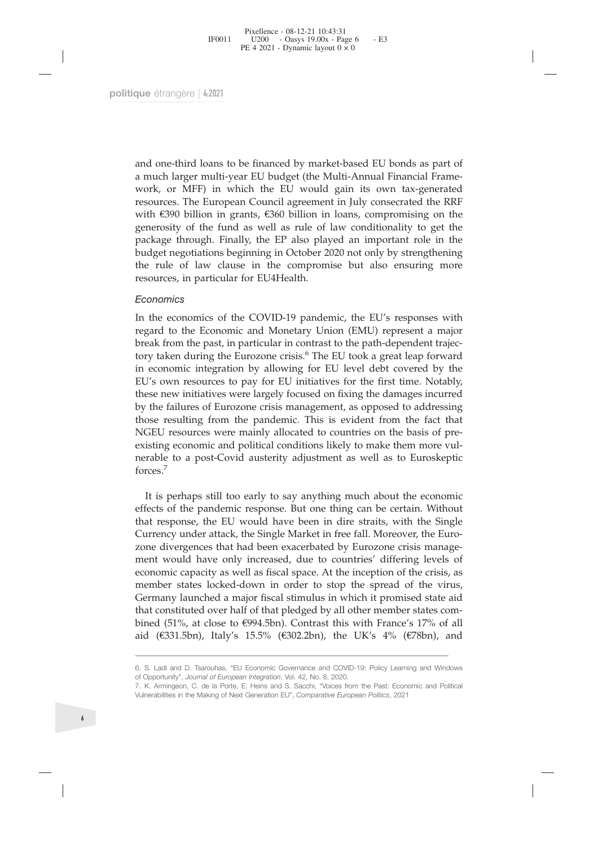Fixellence - 08-12-21 10:43:31<br>
FF0011 U200 - Oasys 19.00x - Page 6 - E3<br>
PE 4 2021 - Dynamic layout 0 × 0<br>
que étrangère | 4:2021<br>
and one-third loans to be financed by market-based EU bonds as part of<br>
a much larger mult 190011 U200 - Oasys 19.00x - Page 6 - E3<br>
PE 4 2021 - Dynamic layout 0 × 0<br>
PE 4 2021<br>
PE 4 2021<br>
PU budget (the Multi-Annual Financial Frame-<br>
work, or MFF) in which the EU would gain its own tax-generated<br>
resources. Th ret 4 2021 - Dynamic layout 0 x 0<br>
and one-third loans to be financed by market-based EU bonds as part of<br>
a much larger multi-year EU budget (the Multi-Annual Financial Frame-<br>
work, or MFF) in which the EU would gain its que étrangère | 4:2021<br>
and one-third loans to be financed by market-based EU bonds as part of<br>
a much larger multi-year EU budget (the Multi-Annual Financial Frame-<br>
work, or MFF) in which the EU would gain its own tax-ge que étrangère | 4:2021<br>
and one-third loans to be financed by market-based EU bonds as part of<br>
a much larger multi-year EU budget (the Multi-Annual Financial Frame-<br>
work, or MFF) in which the EU would gain its own tax-ge que étrangère | 4:2021<br>
and one-third loans to be financed by market-based EU bonds as part of<br>
a much larger multi-year EU budget (the Multi-Annual Financial Frame-<br>
work, or MFF) in which the EU would gain its own tax-ge and one-third loans to be financed by market-based EU bonds as part of a much larger multi-year EU budget (the Multi-Annual Financial Frame-work, or MFF) in which the EU would gain its com tax-generated resources. The Euro and one-third loans to be financed by market-based EU bonds as part of<br>a much larger multi-year EU budget (the Multi-Annual Financial Frame-<br>work, or MFF) in which the EU would gain its own tax-generated<br>resources. The Eur and one-third loans to be financed by market-based EU bonds as part of<br>a much larger multi-year EU budget (the Multi-Annual Financial Frame-<br>work, or MFF) in which the EU would gain its own tax-generated<br>resources. The Eur and one-third loans to be financed by market-bas<br>a much larger multi-year EU budget (the Multi-A<br>work, or MFF) in which the EU would gain<br>resources. The European Council agreement in Ju<br>with €390 billion in grants, €360 b a much are promultivear EU budget (the Multi-Antinual rindicial riance-<br>work, or MFF) in which the EU would gain its own tax-generated<br>resources. The European Council agreement in July consecrated the RRF<br>with €390 billion work, or Mr-r) in wulch the EC wound gain is own tax-generated the RRF resources. The European Council agreement in July consecrated the RRF with 6390 billion in grants, 6360 billion in loans, compromising on the generosit

#### *Economics*

resources. The European Council agreement in July consecrated the KKF with 6390 billion in grants, 6360 billion in loans, compromising on the generosity of the fund as well as rule of law conditionality to get the package wird solven in grants, esoo binnot in loans, compromising on the package through. Finally, the EP also played an important role in the budget negotiations beginning in October 2020 not only by strengthening the rule of law generosity of the fullid as well as well as the of law conditionally to get the budget negotiations beginning in October 2020 not only by strengthening the rule of law clause in the compromise but also ensuring more resour package urougn. Finany, the Er also played an important rote in the budget negotiations beginning in October 2020 not only by strengthening the rule of law clause in the compromise but also ensuring more resources, in part budget riegotations beginning in October 2020 not only by strengtherining<br>the rule of law clause in the compromise but also ensuring more<br>resources, in particular for EU4Health.<br>Leonomics<br>In the economics of the COVID-19 p the rule of law clause in the compromise but also ensuring more<br>resources, in particular for EU4Health.<br>*Economics*<br>In the economics of the COVID-19 pandemic, the EU's responses with<br>regard to the Economic and Monetary Uni resources, in particular for EO4Healin.<br>
Economics<br>
In the economics of the COVID-19 pandemic, the EU's responses with<br>
regard to the Economic and Monetary Union (EMU) represent a major<br>
break from the past, in particular Economics In the economics of the COVID-19 pandemic, the EU's responses with regard to the Economic and Monetary Union (EMU) represent a major break from the past, in particular in contrast to the path-dependent trajectory In the economics of the COVID-19 pandemic, the EU's responses with<br>regard to the Economic and Monetary Union (EMU) represent a major<br>break from the past, in particular in contrast to the path-dependent trajec-<br>tory taken d In the economics of the COVID-19 pandemic, the EU's responses with<br>regard to the Economic and Monetary Union (EMU) represent a major<br>break from the past, in particular in contrast to the path-dependent trajec-<br>tory taken d forces.<sup>7</sup> by taken during the Eurozone crisis." The EU took a great leap forward<br>
economic integration by allowing for EU level debt covered by the<br>
J's own resources to pay for EU initiatives for the first time. Notably,<br>
see new i in economic integration by allowing tor EU level debt covered by the EU's own resources to pay for EU initiatives for the first time. Notably, they the failures of Eurozone crisis management, as opposed to addressing those EU's own resources to pay for EU initiatives for the first time. Notably,<br>these new initiatives were largely focused on fixing the damages incurred<br>by the failures of Eurozone crisis management, as opposed to addressing<br>th

these new mitatives were largely focused on fixing the damages incurred<br>by the failures of Eurozone crisis management, as opposed to addressing<br>those resulting from the pandemic. This is evident from the fact that<br>NGEU res by the tailures of Eurozone crisis management, as opposed to addressing<br>those resulting from the pandemic. This is evident from the fact that<br>NGEU resources were mainly allocated to countries on the basis of pre-<br>existing those resulting from the pandemic. This is evident from the fact that NGEU resources were mainly allocated to countries on the basis of pre-existing economic and political conditions likely to make them more vul-<br>existing NGEU resources were mainly allocated to countries on the basis of pre-<br>existing economic and political conditions likely to make them more vul-<br>existing economic and political conditions likely to make them more vul-<br>frect existing economic and political conditions likely to make them more vul-<br>nerable to a post-Covid austerity adjustment as well as to Euroskeptic<br>forces.<sup>7</sup><br>It is perhaps still too early to say anything much about the econom nerable to a post-Covid austerity adjustment as well as to Euroskeptic<br>forces.<sup>7</sup><br>It is perhaps still too early to say anything much about the economic<br>effects of the pandemic response. But one thing can be certain. Withou torces.'<br>
It is perhaps still too early to say anything much about the economic<br>
effects of the pandemic response. But one thing can be certain. Without<br>
that response, the EU would have been in dire statis, with the Singl It is perhaps still too early to say anything much about the economic<br>effects of the pandemic response. But one thing can be certain. Without<br>that response, the EU would have been in dire straits, with the Single<br>Currency It is pernaps still too early to say anything much about the economic<br>effects of the pandemic response. But one thing can be certain. Without<br>that response, the EU would have been in dire straits, with the Single<br>Currency ment would have only increased, due to countries dinering levels of<br>economic capacity as well as fiscal space. At the inception of the crisis, as<br>member states locked-down in order to stop the spread of the virus,<br>Germany economic capacity as well as fiscal space. At the inceptic<br>member states locked-down in order to stop the spre<br>Germany launched a major fiscal stimulus in which it p<br>that constituted over half of that pledged by all other member states locked-down in order to stop the spread of the virus,<br>Germany launched a major fiscal stimulus in which it promised state aid<br>that constituted over half of that pledged by all other member states com-<br>bined ( The Making of Next Generation EU", *Comparative European Politics*, 2021<br>
Sermany launched a major fiscal stimulus in which it promised state aid<br>
that constituted over half of that pledged by all other member states com-<br>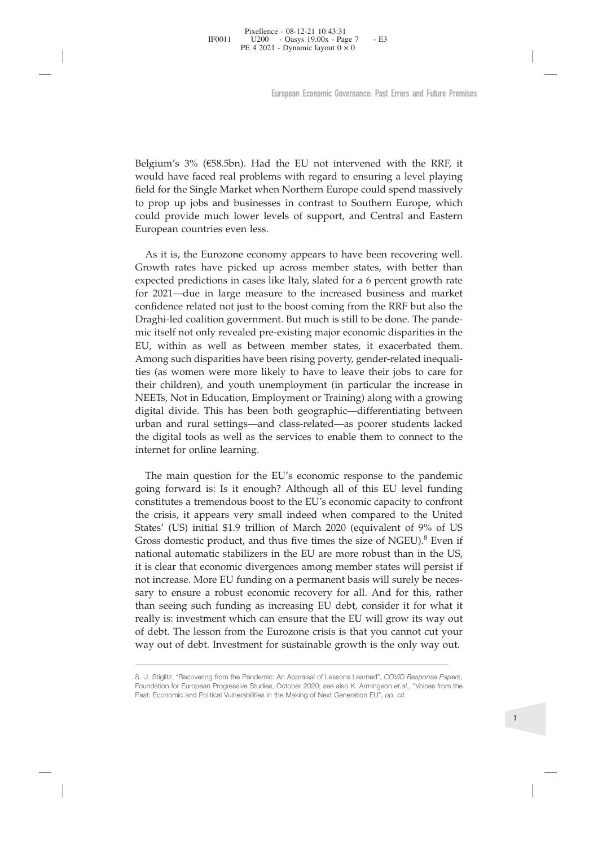FIFO011 U200 - Oasys 19.00x - Page 7 - E3<br>
PE 4 2021 - Dynamic layout 0 × 0<br>
PE 4 2021 - Dynamic layout 0 × 0<br>
European Economic Governance. Past Errors and Future Promises<br>
European Economic Governance. Past Errors and Fu Froot Head 2021 - Dynamic layout Page 7<br>
PE 4 2021 - Dynamic layout 0 × 0<br>
European Economic Governance: Past Errors and Future Promises<br>
European Economic Governance: Past Errors and Future Promises<br>
Field for the Single Figure 12.4 2021 - *Dynamic layout 0* × 0<br>European Economic Governance. Past Errors and Future Promises<br>Belgium's 3% (€58.5bn). Had the EU not intervened with the RRF, it<br>would have faced real problems with regard to ensur European Economic Governance: Past Errors and Future Promises<br>
Belgium's 3% (€58.5bn). Had the EU not intervened with the RRF, it<br>
would have faced real problems with regard to ensuring a level playing<br>
field for the Singl European Economic Governance: Past Errors and Future Promises<br>Belgium's 3% (€58.5bn). Had the EU not intervened with the RRF, it<br>would have faced real problems with regard to ensuring a level playing<br>field for the Single M European Econ<br>
European Econ<br>
European Econ<br>
would have faced real problems with re<br>
field for the Single Market when Norther<br>
to prop up jobs and businesses in cont<br>
could provide much lower levels of su<br>
European countri Igium's 3% (€58.5bn). Had the EU not intervened with the RRF, it buld have faced real problems with regard to ensuring a level playing Id for the Single Market when Northern Europe could spend massively prop up jobs and bu

Belgium's 3% (€58.5bn). Had the EU not intervened with the RRF, it would have faced real problems with regard to ensuring a level playing field for the Single Market when Northern Europe could spend massively to prop up jo Belgium's 3% (€58.5bn). Had the EU not intervened with the RRF, it would have faced real problems with regard to ensuring a level playing field for the Single Market when Northern Europe could spend massively to prop up jo Belgium's 3% (€58.5bn). Had the EU not intervened with the RRF, it would have faced real problems with regard to ensuring a level playing field for the Single Market when Northern Europe could spend massively to prop up jo Experimant of the Consolation and the Detection and the relation of the boosting a level playing field for the Single Market when Northern Europe could spend massively to prop up jobs and businesses in contrast to Southern Field for the Single Market when Northern Europe could spend massively<br>to prop up jobs and businesses in contrast to Southern Europe, which<br>could provide much lower levels of support, and Central and Eastern<br>European count mic in or interaction and provided pre-existing major conterpet and provide property in the could provide much lower levels of support, and Central and Eastern Europe, which could provide much lower levels of support, and to prop up joos and businesses in contrast to solution Europe, which could provide much lower levels of support, and Central and Eastern European countries even less.<br>
As it is, the Eurozone economy appears to have been re European countries even less.<br>
As it is, the Eurozone economy appears to have been recovering well.<br>
Growth rates have picked up across member states, with better than<br>
expected predictions in cases like Italy, slated for Latiopeant counties even tess.<br>
As it is, the Eurozone economy appears to have been recovering well.<br>
Growth rates have picked up across member states, with better than<br>
expected predictions in cases like Italy, slated for As it is, the Eurozone economy appears to have been recovering well.<br>Growth rates have picked up across member states, with better than<br>expected predictions in cases like Italy, slated for a 6 percent growth rate<br>for 2021 The is to the tandoomic vappears of more becoming winds of Growth rates have picked up across member states, with better than expected predictions in cases like Italy, slated for a 6 percent growth rate for 2021—due in la expected predictions in cases like Italy, slated for a 6 percent growth rate for 2021—due in large measure to the increased business and market confidence related not just to the boost coming from the RRF but also the Drag eyected pretations in cases hat  $m_i$ , stated for all epited in large measure to the increased business and market confidence related not just to the boost coming from the RRF but also the Draghi-led coalition government. B to confidence related not just to the boost coming from the RRF but also the Draghi-led coalition government. But much is still to be done. The pandemic itself not only revealed pre-existing major economic disparities in t Draghi-led coalition government. But n mic itself not only revealed pre-existin EU, within as well as between mer Among such disparities have been risin ties (as women were more likely to h their children), and youth unemp react not only revealing mapper consider and the main and the main and the exist of the exist of the main and such disparities have been rising poverty, gender-related inequalises (as women were more likely to have to leav Exp. with as were as ectivered intention states, it exacts at exact in the Although states (as women were more likely to have to leave their jobs to care for their children), and youth unemployment (in particular the incr constrained matrix and tectrically to have to leave their jobs to care for their children), and youth unemployment (in particular the increase in NEETs, Not in Education, Employment or Training) along with a growing digit

the crisis, it appears very wall indeed when converted when the United Michardtheir children), and youth unemployment or Training) along with a growing digital divide. This has been both geographic—differentiating between ner unincing, and your uninpropyment or paraction. The paraction of the NEETs, Not in Education, Employment or Training) along with a growing digital divide. This has been both geographic—differentiating between urban and vients, solven incudential, employment of naming anong with a growing<br>digital divide. This has been both geographic—differentiating between<br>urban and rural settings—and class-related—as poorer students lacked<br>the digital t agnan avivac. This has been boat geographic—annectrinatally between<br>turban and rural settings—and class-related—as poorer students lacked<br>the digital tools as well as the services to enable them to connect to the<br>internet it is clear to the Bigs-and class-tended—as pooler states acked<br>the digital tools as well as the services to enable them to connect to the<br>internet for online learning.<br>The main question for the EU's economic response to t internet for online learning.<br>
The main question for the EU's economic response to the pandemic<br>
going forward is: Is it enough? Although all of this EU level funding<br>
constitutes a tremendous boost to the EU's economic ca The main question for the EU's economic response to the pandemic<br>going forward is: Is it enough? Although all of this EU level funding<br>constitutes a tremendous boost to the EU's economic capacity to confront<br>the crisis, it The main question for the EU's economic response to the pandemic<br>going forward is: Is it enough? Although all of this EU level funding<br>constitutes a tremendous boost to the EU's economic capacity to confront<br>the crisis, it From that the mass of the EU stational response to the EU secure that the crisis, it appears very small indeed when compared to the United States' (US) initial \$1.9 trillion of March 2020 (equivalent of 9% of US Gross dome som forward is: to include the EU's economic capacity to confront<br>the crisis, it appears very small indeed when compared to the United<br>States' (US) initial \$1.9 trillion of March 2020 (equivalent of 9% of US<br>Gross domestic consultative and the cristics, it appears very small indeed when compared to the United States' (US) initial \$1.9 trillion of March 2020 (equivalent of 9% of US Gross domestic product, and thus five times the size of NGEU) 18. It is ciclical that economic divergences anong included states will persist in<br>
2. Stiglitz, the Pandemic Pandemic: *COVID* Response is that it<br>
consider it for what it<br>
really is: investment which can ensure that the sary to ensure a robust economic recovery for all. And for this, rathan seeing such funding as increasing EU debt, consider it for wheally is: investment which can ensure that the EU will grow its way of debt. The lesson f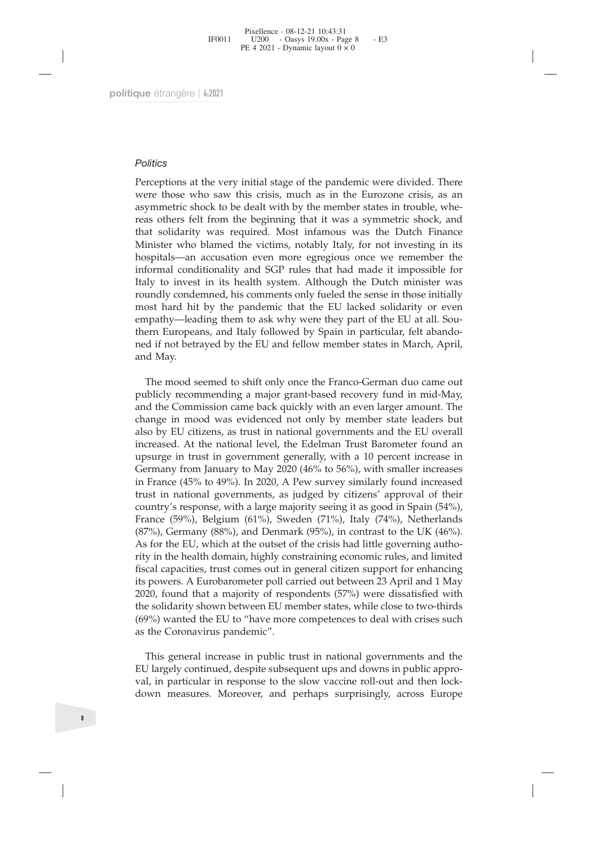#### *Politics*

Perceptions at the very initial stage of the pandemic were divided. There<br>
Perceptions at the very initial stage of the pandemic were divided. There<br>
Perceptions at the very initial stage of the pandemic were divided. The Politics<br>Perceptions at the very initial stage of the pandemic were divided. There<br>were those who saw this crisis, much as in the Eurozone crisis, as an<br>asymmetric shock to be dealt with by the member states in trouble, wh **Politics**<br>Perceptions at the very initial stage of the pandemic were divided. There<br>were those who saw this crisis, much as in the Eurozone crisis, as an<br>asymmetric shock to be dealt with by the member states in trouble, Politics<br>Perceptions at the very initial stage of the pandemic were divided. There<br>were those who saw this crisis, much as in the Eurozone crisis, as an<br>asymmetric shock to be dealt with by the member states in trouble, wh Politics<br>
Perceptions at the very initial stage of the pandemic were divided. There<br>
were those who saw this crisis, much as in the Eurozone crisis, as an<br>
asymmetric shock to be dealt with by the member states in trouble, Politics<br>Perceptions at the very initial stage of the pandemic were divided. There<br>rever those who saw this crisis, much as in the Eurozone crisis, as an<br>asymmetric shock to be dealt with by the member states in trouble, w Politics<br>
Perceptions at the very initial stage of the pandemic were divided. There<br>
were those who saw this crisis, much as in the Eurozone crisis, as an<br>
asymmetric shock to be dealt with by the member states in trouble, Politics<br>Perceptions at the very initial stage of the pandemic were divided. There<br>were those who saw this crisis, much as in the Eurozone crisis, as an<br>asymmetric shock to be dealt with by the member states in trouble, wh Politics<br>Perceptions at the very initial stage of the pandemic were divided. There<br>were those who saw this crisis, much as in the Eurozone crisis, as an<br>asymmetric shock to be dealt with by the member states in trouble, wh Politics<br>Perceptions at the very initial stage of the pandemic were divided. There<br>were those who saw this crisis, much as in the Eurozone crisis, as an<br>asymmetric shock to be dealt with by the member states in trouble, wh Perceptions at the very initial stage of the pandemic were divided. There Perceptions at the very initial stage of the pandemic were dividel, whereas others felt from the beginning that it was a symmetric shock, and that s Perceptions at the very initial stage of the pandemic were divided. There were those who saw this crisis, much as in the Eurozone crisis, as an asymmetric shock to be dealt with by the member states in trouble, whereas oth were those who saw this crisis, much as in the Eurozone crisis, as an asymmetric shock to be dealt with by the member states in trouble, whereas others felt from the beginning that it was a symmetric shock, and that solida asymmetric shock to be dealt with by the member states in trouble, whereas others felt from the beginning that it was a symmetric shock, and that solidarity was required. Most infamous was the Dutch Finance Minister who bl reas others felt from<br>that solidarity was<br>Minister who blame<br>hospitals—an accus<br>informal conditiona<br>Italy to invest in it<br>roundly condemned<br>most hard hit by tl<br>empathy—leading t<br>thern Europeans, ar<br>ned if not betrayed<br>and inister who blamed the victims, notably Italy, for not investing in its spitals—an accusation even more egregious once we remember the formal conditionality and SGP rules that had made it impossible for orbit on invest in hospitals—an accusation even more egregious once we remember the informal conditionality and SGP rules that had made it impossible for Italy to invest in its health system. Although the Dutch minister was roundly condemned informal conditionality and SGP rules that had made it impossible for Italy to invest in its health system. Although the Dutch minister was roundly condemned, his comments only fueled the sense in those initially most hard

Italy to invest in its health system. Although the Dutch minister was roundly condemned, his comments only fueled the sense in those initially most hard hit by the pandemic that the EU lacked solidarity or even empathy—lea roundly condemned, his comments only fueled the sense in those initially most hard hit by the pandemic that the EU lacked solidarity or even empathy—leading them to ask why were they part of the EU at all. Southern Europea most hard hit by the pandemic that the EU lacked solidarity or even<br>empathy—leading them to ask why were they part of the EU at all. Sou-<br>thern Europeans, and Italy followed by Spain in particular, felt abando-<br>ned if not empathy—leading them to ask why were they part of the EU at all. Southern Europeans, and Italy followed by Spain in particular, felt abandomed if not betrayed by the EU and fellow member states in March, April, and May.<br>Th thern Europeans, and Italy followed by Spain in particular, felt abandomed if not betrayed by the EU and fellow member states in March, April, and May.<br>The mood seemed to shift only once the Franco-German duo came out publ ned if not betrayed by the EU and fellow member states in March, April,<br>and May.<br>The mood seemed to shift only once the Franco-German duo came out<br>publicly recommending a major grant-based recovery fund in mid-May,<br>and the and May.<br>
The mood seemed to shift only once the Franco-German duo came out<br>
publicly recommending a major grant-based recovery fund in mid-May,<br>
and the Commission came back quickly with an even larger amount. The<br>
change The mood seemed to shift only once the Franco-German duo came out<br>publicly recommending a major grant-based recovery fund in mid-May,<br>and the Commission came back quickly with an even larger amount. The<br>change in mood was The mood seemed to shift only once the Franco-German duo came out<br>publicly recommending a major grant-based recovery fund in mid-May,<br>and the Commission came back quickly with an even larger amount. The<br>change in mood was publicly recommending a major grant-based recovery fund in mid-May,<br>and the Commission came back quickly with an even larger amount. The<br>change in mood was evidenced not only by member state leaders but<br>also by EU citizens and the Commission came back quickly with an even larger amount. The change in mood was evidenced not only by member state leaders but also by EU citizens, as trust in national governments and the EU overall increased. At change in mood was evidenced not only by member state leaders but<br>also by EU citzens, as trust in national governments and the EU overall<br>increased. At the national level, the Edelman Trust Barometer found an<br>upsurge in tr also by EU citizens, as trust in national governments and the EU overall<br>increased. At the national level, the Edelman Trust Barometer found an<br>upsurge in trust in government generally, with a 10 percent increase in<br>German increased. At the national level, the Edelman Trust Barometer found an upsurge in trust in government generally, with a 10 percent increases in Germany from January to May 2020 (46% to 56%), with snaller increases in Franc upsurge in trust in government generally, with a 10 percent increase in Germany from January to May 2020 (46% to 56%), with smaller increases in France (45% to 49%). In 2020, A Pew survey similarly found increased trust in Germany from January to May 2020 (46% to 56%), with smaller increases<br>in France (45% to 49%). In 2020, A Pew survey similarly found increased<br>trust in national governments, as judged by citizens' approval of their<br>country in France (45% to 49%). In 2020, A Pew survey similarly found increased<br>trust in national governments, as judged by citizens" approval of their<br>country's response, with a large majority seeing it as good in Spain (54%),<br>F trust in national governments, as judged<br>country's response, with a large majority s<br>France (59%), Belgium (61%), Sweden (<br>(87%), Germany (88%), and Denmark (95<sup>c</sup><br>As for the EU, which at the outset of the c<br>rity in the he ance (59%), Belgium (61%), Sweden (71%), Italy (74%), Netherlands 7%), Germany (88%), and Denmark (95%), in contrast to the UK (46%).<br>
for the EU, which at the outset of the crisis had little governing autho-<br>
y in the hel (87%), Germany (88%), and Denmark (95%), in contrast to the UK (46%).<br>As for the EU, which at the outset of the crisis had little governing autho-<br>rity in the health domain, highly constraining economic rules, and limited As for the EU, which at the outset of the crisis had little governing autho-<br>tity in the health domain, highly constraining economic rules, and limited<br>fiscal capacities, trust comes out in general citizen support for enha rity in the health domain, highly constraining economic rules, and limited<br>fiscal capacities, trust comes out in general citizen support for enhancing<br>its powers. A Eurobarometer poll carried out between 23 April and 1 May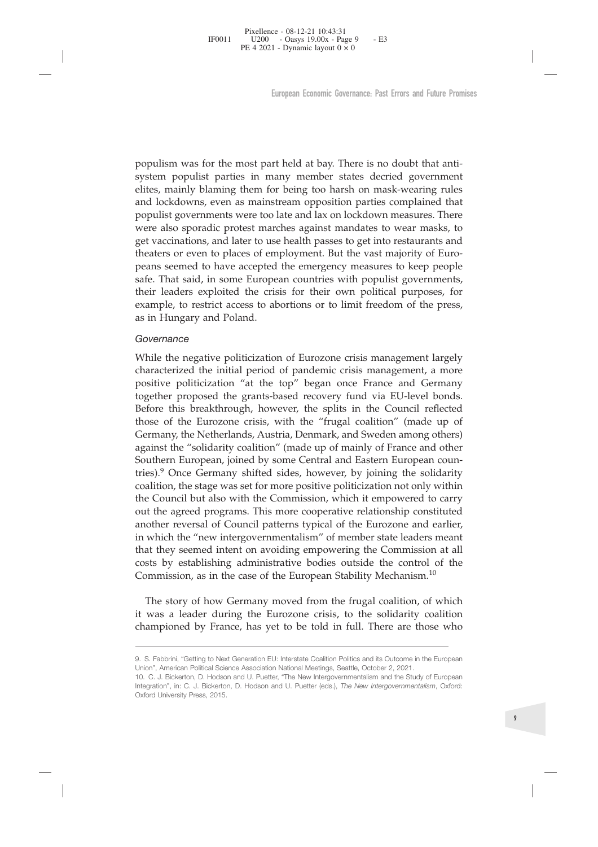Fixellence - 08-12-21 10:43:31<br>
FF0011 U200 - Oasys 19.00x - Page 9 - E3<br>
PE 4 2021 - Dynamic layout 0 × 0<br>
European Economic Governance: Past Errors and Future Pron<br>
Function Economic Governance: Past Errors and Future Pr F0011 U200 - Oasys 19.00x - Page 9 - E3<br>
PE 4 2021 - Dynamic layout 0 × 0<br>
European Economic Governance: Past Errors and Fulture Promises<br>
European Economic Governance: Past Errors and Fulture Promises<br>
populism was for th European Economic Governance: Past Errors and Future Promises<br>European Economic Governance: Past Errors and Future Promises<br>populism was for the most part held at bay. There is no doubt that anti-<br>system populist parties i European Economic Governance: Past Errors and Future Promises<br>populism was for the most part held at bay. There is no doubt that anti-<br>system populist parties in many member states decried government<br>elites, mainly blaming European Economic Governance: Past Errors and Future Promises<br>populism was for the most part held at bay. There is no doubt that anti-<br>system populist parties in many member states decried government<br>elites, mainly blaming European Economic Governance: Past Errors and Future Promises<br>populism was for the most part held at bay. There is no doubt that anti-<br>system populist parties in many member states decried government<br>elites, mainly blaming populism was for the most part held at bay. There is no doubt that anti-<br>system populist parties in many member states decried government<br>elites, mainly blaming them for being too harsh on mask-wearing rules<br>and lockdowns, populism was for the most part held at bay. There is no doubt that anti-<br>system populist parties in many member states decried government<br>elites, mainly blaming them for being too harsh on mask-wearing rules<br>and lockdowns, populism was for the most part held at bay. There is no doubt that anti-system populist parties in many member states decried government ellites, mainly blaming them for being too harsh on mask-wearing rules and lockdowns, populism was for the most part held at bay. There is no doubt that anti-<br>system populist parties in many member states decried government<br>elites, mainly blaming them for being too harsh on mask-wearing rules<br>and lockdowns, populism was for the most part held at bay. There is no doubt that anti-<br>system populist parties in many member states decried government<br>elites, mainly blaming them for being too harsh on mask-wearing rules<br>and lockdowns, populism was for the most part neld at bay. There is no doubt that anti-<br>system populist partins in many member states decried government<br>elites, mainly blaming them for being too harsh on mask-wearing rules<br>and lockdowns, system populst parties in many m<br>elites, mainly blaming them for being<br>and lockdowns, even as mainstream<br>populist governments were too late an<br>were also sporadic protest marches a<br>get vaccinations, and later to use healt<br>t pours governments were to be a and ax on iocknown ineasures. There also sporadic protest marches against mandates to wear masks, to get vaccinations, and later to use health passes to get into restaurants and theaters or e wee ass spotata persons intense signals inationals of wear insass, to exerget vaccinations, and later to use health passes to get into restaurants and theaters or even to places of employment. But the vast majority of Euro

#### *Governance*

ger vacunations, and rate to use iterative possess to ger into restaurants and the that said , in some European countries with populist governments, their leaders exploited the crisis for their own political purposes, for The means seemed to have accepted the emergency measures to keep people peans seemed to have accepted the emergency measures to keep people safe. That said, in some European countries with populist governments, their leade pears seement to nave accepted the emispery measses to keep-people<br>safe. That said, in some European countries with populist governments,<br>their leaders exploited the crisis for their own political purposes, for<br>example, to state. That sand, in some European columnes with populas governments, their headers exploited the crisis for their own political purposes, for example, to restrict access to abortions or to limit freedom of the press, as i Their reading explored the class for their own pointed purposes, for example, to restrict access to abortions or to limit freedom of the press, as in Hungary and Poland.<br>
Governance<br>
While the negative politicization of Eu example, to restrict access to aborhoris of to finith reedom of the press,<br>as in Hungary and Poland.<br>Covernance<br>While the negative politicization of Eurozone crisis management largely<br>characterized the initial period of pa Governance<br>
Governance<br>
While the negative politicization of Eurozone crisis management largely<br>
characterized the initial period of pandemic crisis management, a more<br>
positive politicization "at the top" began once Franc Governance<br>While the negative politicization of Eurozone crisis management largely<br>characterized the initial period of pandemic crisis management, a more<br>positive politicization "at the top" began once France and Germany<br>t While the negative politicization of Eurozone crisis management largely<br>characterized the initial period of pandemic crisis management, a more<br>positive politicization "at the top" began once France and Germany<br>together pro while the negative politicization of eurozone crisis management argery<br>characterized the initial period of pandemic crisis management, a more<br>positive politicization "at the top" began once France and Germany<br>together prop characterized the initial period of pandemic crisis management, a more positive politicization "at the top" began once France and Germany together proposed the grants-based recovery fund via EU-level bonds. Before this bre positive pointicization at the top began once France and Germany<br>together proposed the grants-based recovery fund via EU-level bonds.<br>Before this breakthrough, however, the splits in the Council reflected<br>those of the Euro together proposed the grants-based recovery rund via EU-level bonds.<br>Before this breakthrough, however, the splits in the Council reflected<br>those of the Eurozone crisis, with the "frugal coalition" (made up of<br>Germany, the becore this breakthrough, nowever, the splits in the Council reflected those of the Eurozone crisis, with the "frugal coalition" (made up of Germany, the Netherlands, Austria, Demark, and Sweden among others) against the " those of the Eurozone criss, with the Trugal coaliton (made up of<br>Germany, the Netherlands, Austria, Denmark, and Sweden among others)<br>against the "solidarity coalition" (made up of mainly of France and other<br>Southern Euro Germany, the Netherlands, Austria, Denmark, and Sweden among others) against the "solidarity coalition" (made up of mainly of France and other Southern European, joined by some Central and Eastern European countries).<sup>9</sup> O untern European, jonned by some Central and Eastern European counting<br>es).<sup>9</sup> Once Germany shifted sides, however, by joining the solidarity<br>alition, the stage was set for more positive politicization not only within<br>e Cou thes). Once Germany shired sides, nowever, by joining the solidarity coalition, the stage was set for more positive politicization not only within the Council but also with the Commission, which it empowered to carry out t coalition, the stage was set for more positive pointiclization not only within<br>the Council but also with the Commission, which it empowered to carry<br>out the agreed programs. This more cooperative relationship constituted<br>a

The story of how Germany moved from the frugal coalition, of which<br>Commission, as in the case of the European Stability Mechanism.<sup>10</sup><br>The story of how Germany moved from the frugal coalition, of which<br>it was a leader duri costs by establishing administrative bodies outside the control of t<br>Commission, as in the case of the European Stability Mechanism.<sup>10</sup><br>The story of how Germany moved from the frugal coalition, of whi<br>it was a leader duri Commission, as in the case of the European Stability Mechanism.<sup>10</sup><br>
The story of how Germany moved from the frugal coalition, of which<br>
it was a leader during the Eurozone crisis, to the solidarity coalition<br>
championed b Integration, it is the factor of the European of from the frugal coalition, of which<br>it was a leader during the Eurozone crisis, to the solidarity coalition<br>championed by France, has yet to be told in full. There are those The story of how Germany<br>it was a leader during the<br>championed by France, has<br>-<br>9. S. Fabbrini, "Getting to Next Generation<br>Union", American Political Science Associa<br>10. C. J. Bickerton, D. Hodson and U. Pu<br>Integration",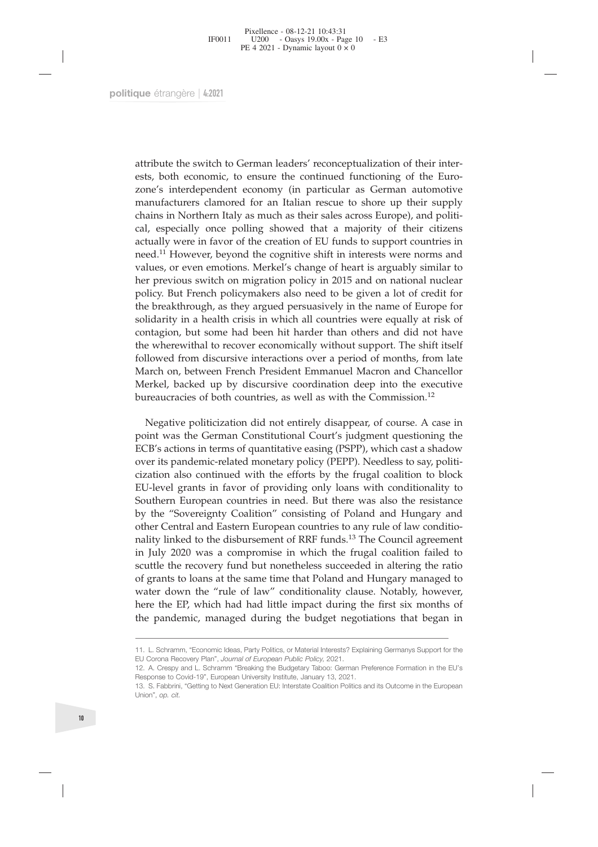Fixellence - 08-12-21 10:43:31<br>
FF0011 U200 - Oasys 19.00x - Page 10 - E3<br>
PE 4 2021 - Dynamic layout 0 × 0<br>
PULE 6<br>
FE 4 2021 - Dynamic layout 0 × 0<br>
PULE 6<br>
FE 4 2021<br>
PULE 1 Dynamic layout 0 × 0<br>
PULE 6<br>
Their inter-<br>
e From Fig. 2000 - Oasys 19.00x - Page 10 - E3<br>
PE 4 2021 - Dynamic layout 0 × 0<br>
PE 4 2021<br>
PE 4 2021<br>
PU E 4 2021 - Dynamic layout 0 × 0<br>
PU E 4 2021<br>
PU E 4 2021<br>
PU E 4 2021<br>
PU E 4 2021<br>
PU E 4 2021<br>
PU E 4 2021<br>
PU E 124 2021 <sup>2</sup> Dynamic layout 0 × 0<br>
2010<br>
2010<br>
2010<br>
2010<br>
2010<br>
2010<br>
2010<br>
2010<br>
2010<br>
2010<br>
2010<br>
2010<br>
2010<br>
2010<br>
2010<br>
2010<br>
2010<br>
2010<br>
2010<br>
2010<br>
2010<br>
2010<br>
2010<br>
2010<br>
2010<br>
2010<br>
2010<br>
2010<br>
2010<br>
2010<br>
2010<br>
2 que étrangère | 4:2021<br>
attribute the switch to German leaders' reconceptualization of their inter-<br>
ests, both economic, to ensure the continued functioning of the Euro-<br>
zone's interdependent economy (in particular as Ge que étrangère | 4:2021<br>
attribute the switch to German leaders' reconceptualization of their inter-<br>
ests, both economic, to ensure the continued functioning of the Euro-<br>
zone's interdependent economy (in particular as Ge que étrangère | 4:2021<br>
attribute the switch to German leaders' reconceptualization of their inter-<br>
ests, both economic, to ensure the continued functioning of the Euro-<br>
zone's interdependent economy (in particular as Ge attribute the switch to German leaders' reconceptualization of their inter-<br>ests, both econonic, to ensure the continued functioning of the Euro-<br>zone's interdependent economy (in particular as German automotive<br>manufactur attribute the switch to German leaders' reconceptualization of their inter-<br>ests, both economic, to ensure the continued functioning of the Euro-<br>zone's interdependent economy (in particular as German automotive<br>manufactur attribute the switch to German leaders' reconceptualization of their inter-<br>ests, both economic, to ensure the continued functioning of the Euro-<br>zone's interdependent economy (in particular as German automotive<br>manufactur attribute the switch to German leaders' reconceptualization of their inter-<br>ests, both economic, to ensure the continued functioning of the Euro-<br>zone's interdependent economy (in particular as German automotive<br>manufactur attribute the switch to German leaders' reconceptualization of their inter-<br>ests, both economic, to ensure the continued functioning of the Euro-<br>zone's interdependent economy (in particular as German automotive<br>manufactur easurable the switch of estimal readers is ecotrepotantzation of the Inter-<br>ests, both economic, to ensure the continued functioning of the Euro-<br>zone's interdependent economy (in particular as German automotive<br>manufactur Exsp. bout Cucolome, to Unstant at continued rationaling of anticolomes manufacturers clamored for an Italian rescue to shore up their supply chains in Northern Italy as much as their sales across Europe), and political, e zone's intertigential economy (in particular as seriant attomoutive than that the manufacturers clannored for an Italian rescue to shore up their supply chains in Northern Italy as much as their sales across Europe), and p manutateurus cannot of an trainin research or short up then suppry-<br>chains in Northern Italy as much as their sales across Europe), and politi-<br>cal, especially once polling showed that a majority of their citizens<br>actuall channs in volution travy as nuclear seasons curope, and point of cal, especially once poling showed that a majority of their citizens actually were in favor of the creation of EU funds to support countries in need.<sup>11</sup> How an, especially wree jouing sinwed utar a nalgority of their cluzies are actually were in favor of the reation of EU funds to upport countries in need.<sup>11</sup> However, beyond the cognitive shift in interests were norms and val actually were in twoto in the Ctatular of Le I antas to support countines in<br>need.<sup>11</sup> However, beyond the cognitive shift in interests were norms and<br>values, or even emotions. Merkel's change of heart is arguably similar read. Towever, beyond the eguinty since in interests well only all the previous solve the previous switch on migration policy in 2015 and on national nuclear policy. But French policymakers also need to be given a lot of c pervous swarter or migration pointy in 2019 and orn attional intetear<br>licy. But French policymakers also need to be given a lot of credit for<br>e breakthrough, as they argued persuasively in the name of Europe for<br>lidarity i ponty. But rientir pontyniaxes also ineed to be given a to to clear to the breakthrough, as they argued persuasively in the name of Europe for solidarity in a health crisis in which all countries were equally at risk of co ECB is a singled persuasively in the late of Late and Calope for the same of the discularity in a health crisis in which all countries were equally at risk of contagion, but some had been hit harder than others and did not

solution, but some had been hit harder than others and did not have the wherewithal to recover economically without support. The shift itself followed from discursive interactions over a period of months, from late March o contagnot, out some rata teat in trance uant outers and out rave and outer the wherewithal to recover economically without support. The shift itself followed from discursive interactions over a period of months, from late In the witeward in tectore economically window support. The sunt itself followed from discursive interactions over a period of months, from late March on, between French President Emmanuel Macron and Chancellor Merkel, bac March on ussessive interactions over a period of informits, nonitated more Merkel, backed up by discursive coordination deep into the executive bureaucracies of both countries, as well as with the Commission.<sup>12</sup><br>Negative Mentro the "Sovereignth" resistent Entimianter Maton and Clarelletical consistive politicization did not entirely disappear, of course. A case in point was the German Constitutional Court's judgment questioning the Booth Merker, backed up by discursive coordination deep into the executive<br>bureaucracies of both countries, as well as with the Commission.<sup>12</sup><br>Negative politicization did not entirely disappear, of course. A case in<br>point was t Departive politicization did not entirely disappear, of course. A case in point was the German Constitutional Court's judgment questioning the ECB's actions in terms of quantitative easing (PSPP), which cast a shadow over Negative politicization did not entirely disappear, of course. A case in<br>point was the German Constitutional Court's judgment questioning the<br>ECB's actions in terms of quantitative easing (PSPP), which cast a shadow<br>over i Fuguare point was the German Constitutional Court's judgment questioning the ECB's actions in terms of quantitative easing (PSPP), which cast a shadow over its pandemic-related monetary policy (PEPP). Needless to say, pol point was ue estimal constitutional courts judget in testoning the ECB's actions in terms of quantitative easing (PSPP). Which cast a shadow over its pandemic-related monetary policy (PEPP). Needless to say, politicization Even a cations in terms or quantitive cannot complete the Type and Conditionality to contrinued with the efforts by the frugal coalition to block EU-level grants in favor of providing only loans with conditionality to Sout over is paractime-retard morecary practy (1-17). Necessity points and stay, points and so continued with the efforts by the frugal coalition to block EU-level grants in favor of providing only loans with conditionality to EU-level grants to womanted what are consisting only and range communication and the EU-level grants in favor of providing only loans with conditionality to Southern European countries in need. But there was also the resi The UV of the proposition of the mass. The counter agreement in July 2020 was a compromise in which the frugal coalition failed to scuttle the recovery fund but nonetheless succeeded in altering the ratio of grants to loan In July 2020 was a compromise in which the frugal<br>scuttle the recovery fund but nonetheless succeeded ir<br>of grants to loans at the same time that Poland and Hu<br>water down the "rule of law" conditionality clause.<br>here the E scuttle the recovery fund but nonetheless succeeded in altering the ratio<br>of grants to loans at the same time that Poland and Hungary managed to<br>water down the "rule of law" conditionality clause. Notably, however,<br>here th Seating the Tectory Junite Bat Honcelnetess Baccecaca II and of grants to loans at the same time that Poland and Hung, water down the "rule of law" conditionality clause. No here the EP, which had had little impact during or grants to Ioans at the same time that Poland and Hungary managed to<br>water down the "rule of law" conditionality clause. Notably, however,<br>here the EP, which had had little impact during the first six months of<br>the pande water down the "<br>
here the EP, which<br>
the pandemic, ma<br>
11. L. Schramm, "Econom<br>
EU Corona Recovery Plan"<br>
12. A. Crespy and L. Schr.<br>
Response to Covid-19", EL<br>
13. S. Fabbrini, "Getting to<br>
Union", op. c*it*.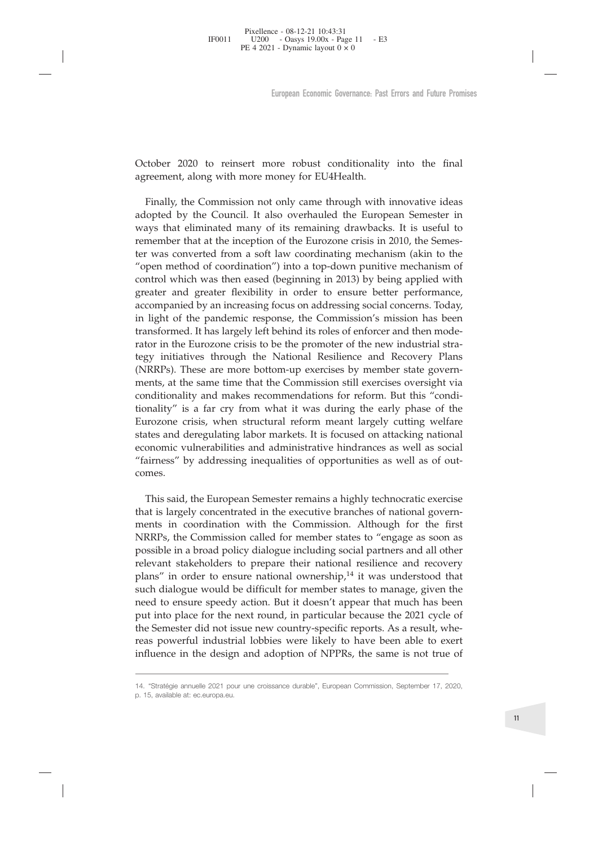Pixellence - 08-12-21 10:43:31 IF0011 U200 - Oasterling

PE 4 2021 - Dynamic layout 0 × 0

European Economic Governance: Past Errors and Future Promises<br>
October 2020 to reinsert more robust conditionality into the final<br>
agreement, along with more money for EU4Health.<br>
Finally, the Commission not only came thro European Economic Governance: Past Errors<br>
2020 to reinsert more robust conditionality into<br>
agreement, along with more money for EU4Health.<br>
Finally, the Commission not only came through with innov<br>
adopted by the Council European Economic Governance: Past Errors and Future Promises<br>
tober 2020 to reinsert more robust conditionality into the final<br>
reement, along with more money for EU4Health.<br>
Finally, the Commission not only came through European Economic Governance: Past Errors and Future Promises<br>
October 2020 to reinsert more robust conditionality into the final<br>
agreement, along with more money for EU4Health.<br>
Finally, the Commission not only came thro European Economic Governance: Past Errors and Future Promises<br>
October 2020 to reinsert more robust conditionality into the final<br>
agreement, along with more money for EU4Health.<br>
Finally, the Commission not only came thro October 2020 to reinsert more robust conditionality into the final<br>agreement, along with more money for EU4Health.<br>Finally, the Commission not only came through with innovative ideas<br>adopted by the Council. It also overhau October 2020 to reinsert more robust conditionality into the final agreement, along with more money for EU4Health.<br>
Finally, the Commission not only came through with innovative ideas<br>
adopted by the Council. It also overh October 2020 to reinsert more robust conditionality into the final agreement, along with more money for EU4Health.<br>
Finally, the Commission not only came through with innovative ideas<br>
adopted by the Council. It also overh October 2020 to reinsert more robust conditionality into the final agreement, along with more money for EU4Health.<br>
Finally, the Commission not only came through with innovative ideas<br>
adopted by the Council. It also overh October 2020 to reinsert more robust conditionality into the final agreement, along with more money for EU4Health.<br>Finally, the Commission not only came through with innovative ideas adopted by the Council. It also overhau October 2020 to reinsert inter robust contuitonally into the linar agreement, along with more money for EU4Health.<br>
Finally, the Commission not only came through with innovative ideas<br>
adopted by the Council. It also overh agreement, along with more money for EU-Freemin.<br>
Finally, the Commission not only came through with innovative ideas<br>
adopted by the Council. It also overhauled the European Semester in<br>
ways that eliminated many of its r Finally, the Commission not only came through with innovative ideas<br>adopted by the Council. It also overhauled the European Semester in<br>ways that eliminated many of its remaining drawbacks. It is useful to<br>remember that at Finany, the Connussion not only came unough whit innovative ideas<br>adopted by the Council. It also overhauled the European Semester in<br>ways that eliminated many of its remaining drawbacks. It is useful to<br>remember that at t abuped by the Council. I also betrained the European Sentester in the supplear original converted from a soft law coordinating mechanism (akin to the "open method of coordination") into a top-down punitive mechanism of con ways uta eminiated mary of its femaning drawbacks. It is useful to remember that at the inception of the Eurozone crisis in 2010, the Semester was converted from a soft law coordinating mechanism (akin to theorem rethod of reliational at the inception of the Eurozone clists in 2010, the Seines-<br>ter was converted from a soft law coordinating mechanism (akin to the<br>"open method of coordination") into a top-down punitive mechanism of<br>control wh er was converted nont a sont aw coordinating inectians (akin to the "open method of coordination") into a top-down punitive mechanism of control which was then eased (beginning in 2013) by being applied with greater and gr been measured or colonalidation f nind a lop-town pumive interariant or control which was then eased (beginning in 2013) by being applied with greater and greater flexibility in order to ensure better performance, accompan comun when us use the eased (beguining in 2015) by being appeled whit was denoted accompanied by an increasing focus on addressing social concerns. Today, in light of the pandemic response, the Commission's mission has bee greater and greater nextrontry in order to ensure better performante,<br>accompanied by an increasing focus on addressing social concerns. Today,<br>in light of the pandemic response, the Commission's mission has been<br>transforme accompanned by an increasing iocus on addressing social concerns. Ioday,<br>this light of the pandemic response, the Commission's mission has been<br>transformed. It has largely left behind its roles of enforcer and then mode-<br>r In light of the pandentic response, the Commission's hussion has been<br>transformed. It has largely left behind its roles of enforcer and then mode-<br>rator in the Eurozone crisis to be the promoter of the new industrial stracomes. by multaves unough the valuation resulter and recovery rians<br>
RRPs). These are more bottom-up exercises by member state govern-<br>
ents, at the same time that the Commission still exercises oversight via<br>
miditionality and m (IVKRT S). These are niore bottom-up exercises by member state govern-<br>ments, at the same time that the Commission still exercises oversight via<br>conditionality" is a far cry from what it was during the early phase of the<br>f ments, at the same time that the Commission still exertses oversignt via<br>conditionality and makes recommendations for reform. But this "condi-<br>tionality" is a far cry from what it was during the early phase of the<br>Eurozone

comminumaly and masks economic mand the comminstant and the commission commistive is a far cry from what it was during the early phase of the Eurozone crisis, when structural reform meant largely cutting welfare states and bundary is a lat try nont want it was utump the early plates of the<br>Eurozone crisis, when structural reform meant largely cutting welfare<br>states and deregulating labor markets. It is focused on attacking national<br>economic Euroloute Clisis, whete states and deregulating labor markets. It is focused on attacking national economic vulnerabilities and administrative hindrances as well as social "fairness" by addressing inequalities of opportuni states and detegutating fabor markets. It is focused on attacking national economic vulnerabilities and administrative hindrances as well as social "fairness" by addressing inequalities of opportunities as well as of outco economic vamerabines and administrative initiataties as well as social<br>
"fairness" by addressing inequalities of opportunities as well as of out-<br>
comes.<br>
This said, the European Semester remains a highly technocratic exer raintess by addressing mequanties or opportunities as wen as or out-<br>comes.<br>This said, the European Semester remains a highly technocratic exercise<br>that is largely concentrated in the executive branches of national govern-This said, the European Semester remains a highly technocratic exercise<br>that is largely concentrated in the executive branches of national governments in coordination with the Commission. Although for the first<br>NRRPs, the This said, the European Semester remains a highly technocratic exercise<br>that is largely concentrated in the executive branches of national govern-<br>ments in coordination with the Commission. Although for the first<br>NRRPs, t rial state, the European of the exective branches of national governments in coordination with the Commission. Although for the first NRRPs, the Commission called for member states to "engage as soon as possible in a broad that is angely concluded in the executive branches of national governit-<br>ments in coordination with the Commission. Although for the first<br>NRRPs, the Commission called for member states to "engage as soon as<br>possible in a plans The otech to chistal chatolical ownership, The was understood that such dialogue would be difficult for member states to manage, given the need to ensure speedy action. But it doesn't appear that much has been put in such dialogue would be diffict<br>need to ensure speedy action.<br>put into place for the next rou<br>the Semester did not issue new<br>reas powerful industrial lobbi<br>influence in the design and ac<br><br>14. "Stratégie annuelle 2021 pour u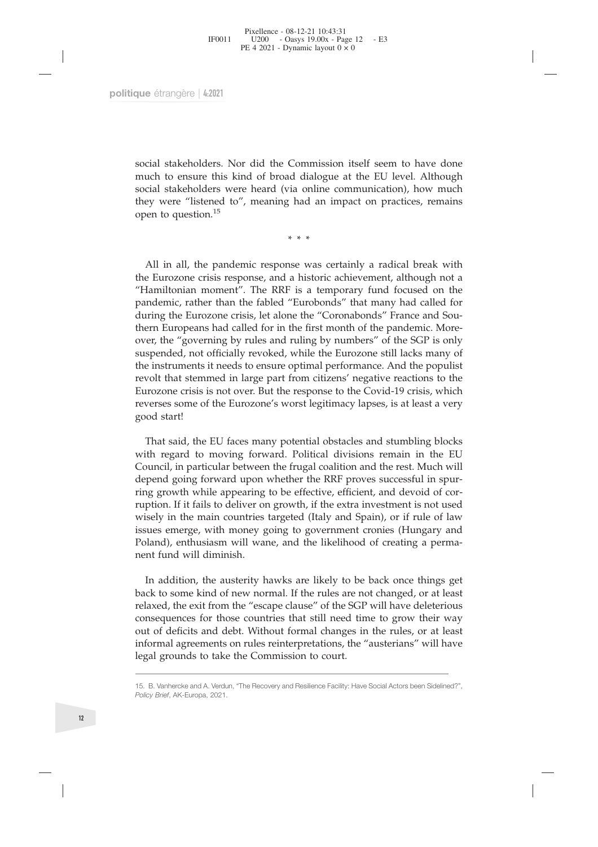Froellance - 08-12-21 10:43:31<br>
FF0011 U200 - Oasys 19.00x - Page 12 - E3<br>
PE 4 2021 - Dynamic layout 0 × 0<br>
<br>
Social stakeholders. Nor did the Commission itself seem to have done<br>
much to ensure this kind of broad dialog Fronti Fronti Place of  $\sim$  2021 - Dynamic layout 0  $\times$  0<br>FE 4 2021 - Dynamic layout 0  $\times$  0<br>The ensure this kind of broad dialogue at the EU level. Although<br>much to ensure this kind of broad dialogue at the EU level. A social stakeholders. Nor did the Commission itself seem to have done<br>social stakeholders. Nor did the Commission itself seem to have done<br>much to ensure this kind of broad dialogue at the EU level. Although<br>social stakehol social stakeholders. Nor did the Commission itself seem to have done<br>much to ensure this kind of broad dialogue at the EU level. Although<br>social stakeholders were heard (via online communication), how much<br>they were "liste

que étrangère | 4:2021<br>
social stakeholders. Nor did the Commission itself seem to have done<br>
much to ensure this kind of broad dialogue at the EU level. Although<br>
social stakeholders were heard (via online communication), social stakeholders. Nor did the Commission itself seem to have done<br>much to ensure this kind of broad dialogue at the EU level. Although<br>social stakeholders were heard (via online communication), how much<br>they were "liste social stakeholders. Nor did the Commission itself seem to have done<br>much to ensure this kind of broad dialogue at the EU level. Although<br>social stakeholders were heard (via online communication), how much<br>they were "liste social stakeholders. Nor did the Commission itself seem to have done<br>much to ensure this kind of broad dialogue at the EU level. Although<br>social stakeholders were heard (via online communication), how much<br>they were "liste much to ensure this kind of broad dialogue at the EU level. Although<br>social stakeholders were heard (via online communication), how much<br>they were "listened to", meaning had an impact on practices, remains<br>open to question social stakeholders were heard (via online communication), how much<br>they were "listened to", meaning had an impact on practices, remains<br>open to question.<sup>15</sup><br>\*\*\*<br>All in all, the pandemic response was certainly a radical b they were "istened to", meaning had an impact on practices, remains<br>open to question.<sup>15</sup><br> $**$ <br>All in all, the pandemic response was certainly a radical break with<br>the Eurozone crisis response, and a historic achievement, a sum to question.<sup>15</sup><br>**All in all, the pandemic response was certainly a radical break with**<br>the Eurozone crisis response, and a historic achievement, although not a<br>"Hamiltonian moment". The RRF is a temporary fund focused \*\*\*<br>All in all, the pandemic response was certainly a radical break with<br>the Eurozone crisis response, and a historic achievement, although not a<br>"Hamiltonian moment". The RRF is a temporary fund focused on the<br>pandemic, r All in all, the pandemic response was certainly a radical break with<br>the Eurozone crisis response, and a historic achievement, although not a<br>"Hamiltonian moment". The RRF is a temporary fund focused on the<br>pandemic, rath All in all, the pandemic response was certainly a radical break with<br>the Eurozone crisis response, and a historic achievement, although not a<br>"Hamiltonian moment". The RRF is a temporary fund focused on the<br>pandemic, rathe All in all, the pandemic response was certainly a radical break with<br>the Eurozone crisis response, and a historic achievement, although not a<br>"Hamiltonian moment". The RRF is a temporary fund focused on the<br>pandemic, rathe the Eurozone crisis res<br>
"Hamiltonian moment<br>
pandemic, rather than<br>
during the Eurozone c<br>
thern Europeans had c<br>
over, the "governing b<br>
suspended, not official<br>
the instruments it need<br>
revolt that stemmed in<br>
Eurozone mdemic, rather than the tabled "Eurobonds" that many had called for<br>tring the Eurozone crisis, let alone the "Coronabonds" France and Sou-<br>ern Europeans had called for in the first month of the pandemic. More-<br>er, the "gov during the Eurozone crisis, let alone the "Coronabonds" France and Southern Europeans had called for in the first month of the pandemic. More-<br>over, the "governing by rules and ruling by numbers" of the SGP is only<br>suspend thern Europeans had called tor in the first month of the pandemic. More-<br>over, the "governing by rules and ruling by numbers" of the SGP is only<br>suspended, not officially revoked, while the Eurozone still lacks many of<br>the

over, the "governing by rules and ruling by numbers" of the SGP is only suspended, not officially revoked, while the Eurozone still lacks many of the instruments it needs to ensure optimal performance. And the populist rev suspended, not officially revoked, while the Eurozone still lacks many of<br>the instruments it needs to ensure optimal performance. And the populist<br>revolt that stemmed in large part from citizens' negative reactions to the<br> the instruments it needs to ensure optimal performance. And the populist<br>revolt that stemmed in large part from citizens' negative reactions to the<br>Eurozone crisis is not over. But the response to the Covid-19 crisis, whic revolt that stemmed in large part from citizens' negative reactions to the Eurozone crisis is not over. But the response to the Covid-19 crisis, which reverses some of the Eurozone's worst legitimacy lapses, is at least a Eurozone crisis is not over. But the response to the Covid-19 crisis, which<br>reverses some of the Eurozone's worst legitimacy lapses, is at least a very<br>good start!<br>That said, the EU faces many potential obstacles and stumb reverses some of the Eurozone's worst legitimacy lapses, is at least a very good start!<br>That said, the EU faces many potential obstacles and stumbling blocks<br>with regard to moving forward. Political divisions remain in the good start!<br>That said, the EU faces many po<br>with regard to moving forward.<br>Council, in particular between the f<br>depend going forward upon wheth<br>ring growth while appearing to be<br>ruption. If it fails to deliver on grow<br>wise That said, the EU faces many potential obstacles and stumbling blocks<br>th regard to moving forward. Political divisions remain in the EU<br>uncuicl, in particular between the frugal coalition and the rest. Much will<br>pend going with regard to moving torward. Political divisions remain in the EU Council, in particular between the frugal coalition and the rest. Much will depend going forward upon whether the RRF proves successful in spuring growth Council, in particular between the frugal coalition and the rest. Much will<br>depend going forward upon whether the RRF proves successful in spur-<br>ring growth while appearing to be effective, efficient, and devoid of cor-<br>ru

depend going forward upon whether the RRF proves successful in spur-<br>ring growth while appearing to be effective, efficient, and devoid of cor-<br>ruption. If it fails to deliver on growth, if the extra investment is not used ring growth while appearing to be effective, efficient, and devoid of corruption. If it fails to deliver on growth, if the extra investment is not used wisely in the main countries targeted (Italy and Spain), or if rule of ruption. If it fails to deliver on growth, it the extra investment is not used<br>wisely in the main countries targeted (Italy and Spain), or if rule of law<br>issues emerge, with money going to government cronies (Hungary and<br>P wisely in the main countries targeted (Italy and Spain), offsuses emerge, with money going to government cronies Poland), enthusiasm will wane, and the likelihood of crearent fund will diminish.<br>In addition, the austerity In addition, the austerity hawks are likely to be back once things get<br>back to some kind of new normal. If the rules are not changed, or at least<br>relaxed, the exit from the "escape clause" of the SGP will have deleterious<br> **Policy Brief, AK-Europa, 2021.**<br>**Policy Brief, AR-AND Scheme Section And Scheme Section**<br>**Policy Brief, AK-Europa, 2021.**<br>**Policy Brief, AK-Europa, 2021.**<br>**Policy Brief, AK-Europa, 2021.**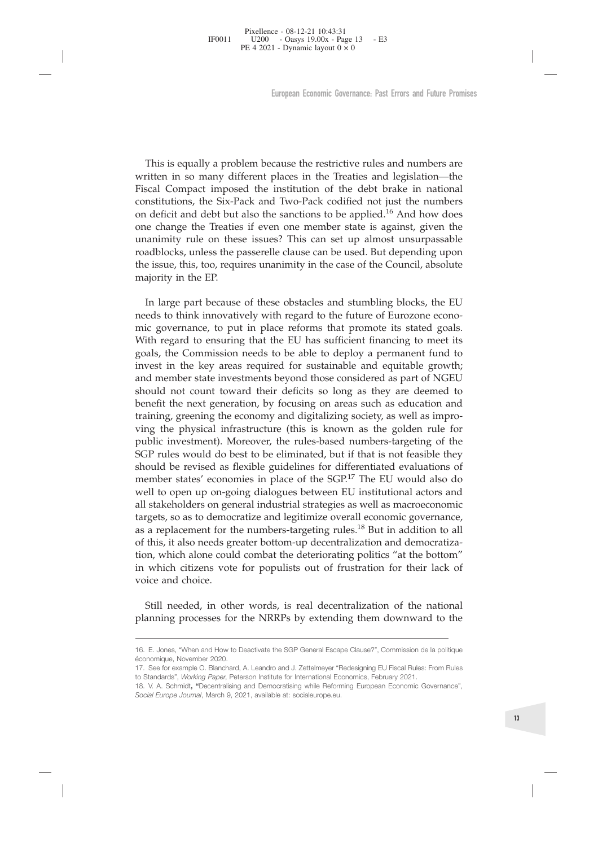Pixellence - 08-12-21 10:43:31 IF0011 U200 - Oasterling

PE 4 2021 - Dynamic layout 0 × 0

European Economic Governance: Past Errors and Future Promises<br>This is equally a problem because the restrictive rules and numbers are<br>ritten in so many different places in the Treaties and legislation—the<br>scal Compact impo European Economic Governance: Past Errors and Future Promises<br>This is equally a problem because the restrictive rules and numbers are<br>written in so many different places in the Treaties and legislation—the<br>Fiscal Compact i European Economic Governance: Past Errors and Future Promises<br>This is equally a problem because the restrictive rules and numbers are<br>written in so many different places in the Treaties and legislation—the<br>Fiscal Compact i European Economic Governance: Past Errors and Future Promises<br>This is equally a problem because the restrictive rules and numbers are<br>written in so many different places in the Treaties and legislation—the<br>Fiscal Compact i European Economic Governance: Past Errors and Future Promises<br>This is equally a problem because the restrictive rules and numbers are<br>written in so many different places in the Treaties and legislation—the<br>Fiscal Compact i European Economic Governance. Past Errors and Future Promises<br>This is equally a problem because the restrictive rules and numbers are<br>written in so many different places in the Treaties and legislation—the<br>Fiscal Compact i This is equally a problem because the restrictive rules and numbers are written in so many different places in the Treaties and legislation—the constitutions, the Six-Pack and Two-Pack codified not just the numbers on def This is equally a problem because the restrictive rules and numbers are written in so many different places in the Treaties and legislation—the Fiscal Compatiums, the Six-Pack and Two-Pack codified not just the numbers on This is equally a problem because the restrictive rules and numbers are written in so many different places in the Treaties and legislation—the Fiscal Compact imposed the institution of the debt brake in national constitu This is equally a problem b<br>written in so many different<br>Fiscal Compact imposed the<br>constitutions, the Six-Pack are<br>on deficit and debt but also t<br>one change the Treaties if ev<br>unanimity rule on these issu<br>roadblocks, unle This is equally a problem because the restrictive rules and numbers are<br>cited in so many different places in the Treaties and legislation—the<br>iseal Compact imposed the institution of the debt brake in national<br>nstitutions, written in so many different places in the Treaties and legislation—the<br>Fiscal Compact imposed the institution of the debt brake in national<br>constitutions, the Six-Pack and Two-Pack codified not just the numbers<br>on deficit Fiscal Compact imposed the institution of the debt brake in national constitutions, the Six-Pack and Two-Pack codified not just the numbers on deficit and debt but also the sanctions to be applied.<sup>16</sup> And how does one cha

constitutions, the Six-Pack and Two-Pack codified not just the numbers<br>on deficit and debt but also the sanctions to be applied.<sup>16</sup> And how does<br>unanimity rule on these issues? This can set up almost unsurpassable<br>roadblo on deficit and debt but also the sanctions to be applied.<sup>16</sup> And how does<br>one change the Treaties if even one member state is against, given the<br>unanimity rule on these issues? This can set up almost unsurpassable<br>roadblo one change the Treaties if even one member state is against, given the unanimity rule on these issues? This can set up almost unsurpassable roadblocks, unless the passerelle clause can be used. But depending upon the issue unanimity rule on these issues? This can set up almost unsurpassable roadblocks, unless the passerelle clause can be used. But depending upon the issue, this, too, requires unanimity in the case of the Council, absolute ma roadblocks, unless the passerelle clause can be used. But depending upon<br>the issue, this, too, requires unanimity in the case of the Council, absolute<br>majority in the EP.<br>In large part because of these obstacles and stumbl the issue, this, too, requires unanimity in the case of the Council, absolute majority in the EP.<br>
In large part because of these obstacles and stumbling blocks, the EU needs to think innovatively with regard to the future majority in the EP.<br>
In large part because of these obstacles and stumbling blocks, the EU<br>
needs to think innovatively with regard to the future of Eurozone economic<br>
gooals, the Commission needs to be lost of points suff In large part because of these obstacles and stumbling blocks, the EU needs to think innovatively with regard to the future of Eurozone economic governance, to put in place reforms that promote its stated goals. With rega In large part because of these obstacles and stumbling blocks, the EU meads to think innovatively with regard to the future of Eurozone economic governance, to put in place reforms that promote its stated goals. With rega needs to think innovatively with regard to the tuture of Eurozone econo-<br>mic governance, to put in place reforms that promote its stated goals.<br>With regard to ensuring that the EU has sufficient financing to meet its<br>goals mic governance, to put in place reforms that promote its stated goals.<br>With regard to ensuring that the EU has sufficient financing to meet its goals, the Commission needs to be able to deploy a permanent fund to invest in With regard to ensuring that the EU has sufficient financing to meet its goals, the Commission needs to be able to deploy a permanent fund to invest in the key areas required for sustainable and equitable growth; and memb goals, the Commission needs to be able to deploy a permanent fund to invest in the key areas required for sustainable and equitable growth; and member state investments beyond those considered as part of NGEU should not co invest in the key areas required for sustainable and equitable growth;<br>and member state investments beyond those considered as part of NGEU<br>should not count toward their deficits so long as they are deemed to<br>benefit the n and member state investments beyond those considered as part of NGEU<br>should not count toward their deficits so long as they are deemed to<br>benefit the next generation, by focusing on areas such as education and<br>training, gr should not count toward their deficits so long as they are deemed to<br>benefit the next generation, by focusing on areas such as education and<br>training, greening the economy and digitalizing society, as well as in<br>pro-<br>ving benefit the next generation, by focusing on areas such as education and<br>training, greening the economy and digitalizing society, as well as impro-<br>ving the physical infrastructure (this is known as the golden rule for<br>pub training, greening the economy and digitalizing society, as well as impro-<br>ving the physical infrastructure (this is known as the golden rule for<br>public investment). Moreover, the rules-based numbers-targeting of the<br>SGP r ving the physical infrastructure (this is known as the golden rule for public investment). Moreover, the rules-based numbers-targeting of the SGP rules would do best to be eliminated, but if that is not feasible they shoul public investment). Moreov<br>SGP rules would do best to<br>should be revised as flexibl<br>member states' economies i<br>well to open up on-going d<br>all stakeholders on general i<br>targets, so as to democratize<br>as a replacement for the ould be revised as flexible guidelines for differentiated evaluations of<br>ember states' economies in place of the SGP.<sup>17</sup> The EU would also do<br>stakeholders on general industrial strategies as well as macroeconomic<br>grets, s member states' economies in place of the SGP.<sup>17</sup> The EU would also do<br>
well to open up on-going dialogues between EU institutional actors and<br>
all stakeholders on general industrial strategies as well as macroeconomic<br>
ta 16. E. Jones, "When and How to Deactivate the SGP General Escape Clause?", Commission de la political companing processes for the NRRPs by extending them downward to the Nightanning processes for the NRRPs by extending the économique, November 2020. in which citizens vote for populists out of frustration for their lack of<br>voice and choice.<br>Still needed, in other words, is real decentralization of the national<br>planning processes for the NRRPs by extending them downward

The Wilch Crizens vote for popularists out of fitstration for them facts.<br> **Still needed, in other words, is real decentralization of the nation<br>
planning processes for the NRRPs by extending them downward to the<br>
16. E. J** voice and choice.<br> **Still needed, in other words, is real decentralization of the national<br>
planning processes for the NRRPs by extending them downward to the<br>
16. E. Jones, "When and How to Deactivate the SGP General Esca Still needed, in other words, is real decentralization planning processes for the NRRPs by extending them**<br>16. E. Jones, "When and How to Deactivate the SGP General Escape Clause?", économique, November 2020.<br>17. See for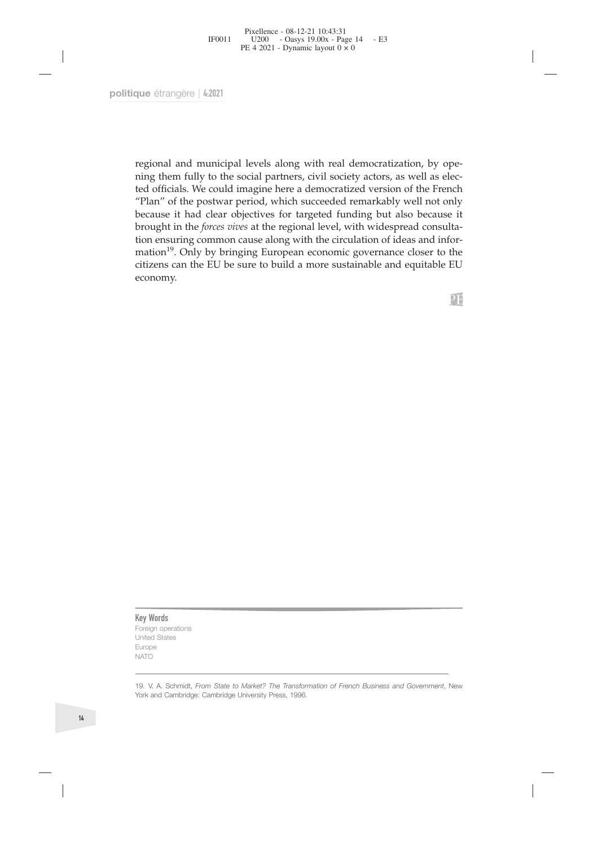Fixellence - 08-12-21 10:43:31<br>
FF0011 U200 - Oasys 19.00x - Page 14 - E3<br>
PE 4 2021 - Dynamic layout 0 × 0<br>
PULE 4:2021<br>
PULE 4:2021<br>
PULE 4:2021<br>
PULE 4:2021<br>
PULE 4:2021<br>
PULE 4:2021<br>
PULE 4:2021<br>
PULE 4:2021<br>
PULE 4:20 190011  $U200 - Oays 19.00x - Page 14 - E3$ <br>
PE 4 2021 - Dynamic layout 0 × 0<br>
que étrangère | 4:2021<br>
que étrangère | 4:2021<br>
per espional and municipal levels along with real democratization, by ope-<br>
regional and municipal levels The 4 2021 - Dynamic layou of x 0<br>
The eftrangère  $\lfloor 4:2021 \rfloor$ <br>
and municipal levels along with real democratization, by ope-<br>
ning them fully to the social partners, civil society actors, as well as elec-<br>
ted officia The eftrangère | 4:2021<br>
"Here eftrangère | 4:2021<br>
regional and municipal levels along with real democratization, by ope-<br>
hing them fully to the social partners, civil society actors, as well as elec-<br>
ted officials. We pure étrangère  $|4:2021|$ <br>regional and municipal levels along with real democratization, by ope-<br>ning them fully to the social partners, civil society actors, as well as elec-<br>ted officials. We could imagine here a democr que étrangère | 4:2021<br>
regional and municipal levels along with real democratization, by ope-<br>
ning them fully to the social partners, civil society actors, as well as elec-<br>
ted officials. We could imagine here a democra regional and municipal levels along with real democratization, by opening them fully to the social partners, civil society actors, as well as elected officials. We could imagine here a democratized version of the French " regional and municipal levels along with real democratization, by opening them fully to the social partners, civil society actors, as well as elected officials. We could imagine here a democratized version of the French "P regional and municipal levels along with real democratization, by opening them fully to the social partners, civil society actors, as well as elected officials. We could imagine here a democratized version of the French "P economy.

**Key Words**<br>Foreign operations<br>United States<br>Europe<br>NATO **Key Words**<br>Foreign operations<br>United States<br>Europe<br>NATO **Key Words**<br>Foreign operations<br>United States<br>Europe<br>NATO Europe NATO

19. V. A. Schmidt, *From State to Market? The Transformation of French Business and Government*, New York and Cambridge: Cambridge University Press, 1996. **Key Words**<br>The Cambridge Controller<br>Control Cambridge: Cambridge: Cambridge University Press, 1996.<br>York and Cambridge: Cambridge University Press, 1996.